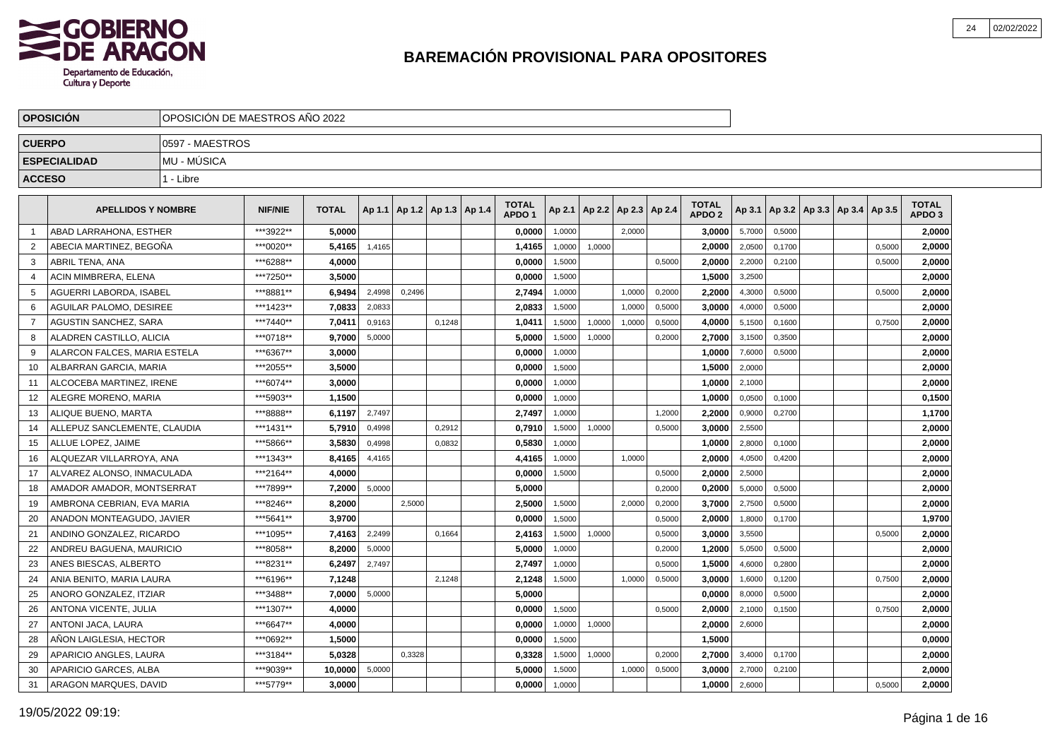

|                | <b>OPOSICIÓN</b>             | OPOSICIÓN DE MAESTROS AÑO 2022 |                |              |        |                                   |        |                                   |        |                 |        |        |                                   |        |        |                                   |        |                                   |
|----------------|------------------------------|--------------------------------|----------------|--------------|--------|-----------------------------------|--------|-----------------------------------|--------|-----------------|--------|--------|-----------------------------------|--------|--------|-----------------------------------|--------|-----------------------------------|
| <b>CUERPO</b>  |                              | 0597 - MAESTROS                |                |              |        |                                   |        |                                   |        |                 |        |        |                                   |        |        |                                   |        |                                   |
|                | <b>ESPECIALIDAD</b>          | <b>MU - MUSICA</b>             |                |              |        |                                   |        |                                   |        |                 |        |        |                                   |        |        |                                   |        |                                   |
| <b>ACCESO</b>  |                              | 1 - Libre                      |                |              |        |                                   |        |                                   |        |                 |        |        |                                   |        |        |                                   |        |                                   |
|                |                              |                                |                |              |        |                                   |        |                                   |        |                 |        |        |                                   |        |        |                                   |        |                                   |
|                | <b>APELLIDOS Y NOMBRE</b>    |                                | <b>NIF/NIE</b> | <b>TOTAL</b> |        | Ap 1.1   Ap 1.2   Ap 1.3   Ap 1.4 |        | <b>TOTAL</b><br>APDO <sub>1</sub> | Ap 2.1 | Ap 2.2   Ap 2.3 |        | Ap 2.4 | <b>TOTAL</b><br>APDO <sub>2</sub> | Ap 3.1 |        | Ap 3.2   Ap 3.3   Ap 3.4   Ap 3.5 |        | <b>TOTAL</b><br>APDO <sub>3</sub> |
| $\mathbf{1}$   | ABAD LARRAHONA. ESTHER       |                                | ***3922**      | 5,0000       |        |                                   |        | 0,0000                            | 1,0000 |                 | 2.0000 |        | 3,0000                            | 5,7000 | 0,5000 |                                   |        | 2,0000                            |
| 2              | ABECIA MARTINEZ. BEGOÑA      |                                | ***0020**      | 5,4165       | 1,4165 |                                   |        | 1,4165                            | 1,0000 | 1,0000          |        |        | 2.0000                            | 2,0500 | 0,1700 |                                   | 0,5000 | 2,0000                            |
| 3              | ABRIL TENA. ANA              |                                | ***6288**      | 4.0000       |        |                                   |        | 0,0000                            | 1.5000 |                 |        | 0,5000 | 2.0000                            | 2,2000 | 0,2100 |                                   | 0,5000 | 2,0000                            |
| $\overline{4}$ | ACIN MIMBRERA. ELENA         |                                | ***7250**      | 3.5000       |        |                                   |        | 0.0000                            | 1,5000 |                 |        |        | 1,5000                            | 3,2500 |        |                                   |        | 2,0000                            |
| 5              | AGUERRI LABORDA. ISABEL      |                                | ***8881**      | 6,9494       | 2,4998 | 0,2496                            |        | 2,7494                            | 1,0000 |                 | 1,0000 | 0,2000 | 2,2000                            | 4,3000 | 0,5000 |                                   | 0,5000 | 2,0000                            |
| 6              | AGUILAR PALOMO, DESIREE      |                                | ***1423**      | 7,0833       | 2,0833 |                                   |        | 2,0833                            | 1,5000 |                 | 1,0000 | 0,5000 | 3,0000                            | 4,0000 | 0,5000 |                                   |        | 2,0000                            |
| $\overline{7}$ | AGUSTIN SANCHEZ, SARA        |                                | ***7440**      | 7,0411       | 0,9163 |                                   | 0,1248 | 1,0411                            | 1,5000 | 1,0000          | 1,0000 | 0,5000 | 4,0000                            | 5,1500 | 0,1600 |                                   | 0,7500 | 2,0000                            |
| 8              | ALADREN CASTILLO, ALICIA     |                                | ***0718**      | 9,7000       | 5,0000 |                                   |        | 5,0000                            | 1,5000 | 1,0000          |        | 0,2000 | 2,7000                            | 3,1500 | 0,3500 |                                   |        | 2,0000                            |
| 9              | ALARCON FALCES. MARIA ESTELA |                                | ***6367**      | 3.0000       |        |                                   |        | 0.0000                            | 1,0000 |                 |        |        | 1.0000                            | 7,6000 | 0,5000 |                                   |        | 2,0000                            |
| 10             | ALBARRAN GARCIA. MARIA       |                                | ***2055**      | 3.5000       |        |                                   |        | 0.0000                            | 1,5000 |                 |        |        | 1,5000                            | 2,0000 |        |                                   |        | 2,0000                            |
| 11             | ALCOCEBA MARTINEZ, IRENE     |                                | ***6074**      | 3.0000       |        |                                   |        | 0.0000                            | 1,0000 |                 |        |        | 1.0000                            | 2,1000 |        |                                   |        | 2,0000                            |
| 12             | ALEGRE MORENO, MARIA         |                                | ***5903**      | 1,1500       |        |                                   |        | 0,0000                            | 1,0000 |                 |        |        | 1,0000                            | 0,0500 | 0,1000 |                                   |        | 0,1500                            |
| 13             | ALIQUE BUENO, MARTA          |                                | ***8888**      | 6,1197       | 2,7497 |                                   |        | 2,7497                            | 1,0000 |                 |        | 1,2000 | 2,2000                            | 0,9000 | 0,2700 |                                   |        | 1,1700                            |
| 14             | ALLEPUZ SANCLEMENTE, CLAUDIA |                                | ***1431**      | 5,7910       | 0,4998 |                                   | 0,2912 | 0,7910                            | 1,5000 | 1,0000          |        | 0,5000 | 3,0000                            | 2,5500 |        |                                   |        | 2,0000                            |
| 15             | ALLUE LOPEZ, JAIME           |                                | ***5866**      | 3,5830       | 0,4998 |                                   | 0,0832 | 0,5830                            | 1,0000 |                 |        |        | 1,0000                            | 2,8000 | 0,1000 |                                   |        | 2,0000                            |
| 16             | ALQUEZAR VILLARROYA, ANA     |                                | ***1343**      | 8,4165       | 4,4165 |                                   |        | 4,4165                            | 1,0000 |                 | 1.0000 |        | 2.0000                            | 4,0500 | 0,4200 |                                   |        | 2,0000                            |
| 17             | ALVAREZ ALONSO. INMACULADA   |                                | ***2164**      | 4,0000       |        |                                   |        | 0,0000                            | 1,5000 |                 |        | 0,5000 | 2.0000                            | 2,5000 |        |                                   |        | 2,0000                            |
| 18             | AMADOR AMADOR. MONTSERRAT    |                                | ***7899**      | 7.2000       | 5,0000 |                                   |        | 5.0000                            |        |                 |        | 0,2000 | 0.2000                            | 5,0000 | 0,5000 |                                   |        | 2,0000                            |
| 19             | AMBRONA CEBRIAN. EVA MARIA   |                                | ***8246**      | 8.2000       |        | 2.5000                            |        | 2.5000                            | 1,5000 |                 | 2.0000 | 0,2000 | 3.7000                            | 2,7500 | 0,5000 |                                   |        | 2.0000                            |
| 20             | ANADON MONTEAGUDO, JAVIER    |                                | ***5641**      | 3,9700       |        |                                   |        | 0,0000                            | 1,5000 |                 |        | 0,5000 | 2,0000                            | 1,8000 | 0,1700 |                                   |        | 1,9700                            |
| 21             | ANDINO GONZALEZ, RICARDO     |                                | ***1095**      | 7,4163       | 2,2499 |                                   | 0,1664 | 2,4163                            | 1,5000 | 1,0000          |        | 0,5000 | 3,0000                            | 3,5500 |        |                                   | 0,5000 | 2,0000                            |
| 22             | ANDREU BAGUENA, MAURICIO     |                                | ***8058**      | 8,2000       | 5,0000 |                                   |        | 5,0000                            | 1,0000 |                 |        | 0,2000 | 1,2000                            | 5,0500 | 0,5000 |                                   |        | 2,0000                            |
| 23             | ANES BIESCAS, ALBERTO        |                                | ***8231**      | 6,2497       | 2,7497 |                                   |        | 2,7497                            | 1,0000 |                 |        | 0,5000 | 1,5000                            | 4,6000 | 0,2800 |                                   |        | 2,0000                            |
| 24             | ANIA BENITO, MARIA LAURA     |                                | ***6196**      | 7,1248       |        |                                   | 2.1248 | 2,1248                            | 1.5000 |                 | 1,0000 | 0,5000 | 3,0000                            | 1,6000 | 0.1200 |                                   | 0,7500 | 2,0000                            |
| 25             | ANORO GONZALEZ, ITZIAR       |                                | ***3488**      | 7.0000       | 5,0000 |                                   |        | 5.0000                            |        |                 |        |        | 0.0000                            | 8,0000 | 0,5000 |                                   |        | 2,0000                            |
| 26             | ANTONA VICENTE, JULIA        |                                | ***1307**      | 4.0000       |        |                                   |        | 0.0000                            | 1,5000 |                 |        | 0,5000 | 2.0000                            | 2,1000 | 0,1500 |                                   | 0,7500 | 2,0000                            |
| 27             | ANTONI JACA, LAURA           |                                | ***6647**      | 4,0000       |        |                                   |        | 0,0000                            | 1.0000 | 1,0000          |        |        | 2,0000                            | 2,6000 |        |                                   |        | 2,0000                            |
| 28             | AÑON LAIGLESIA, HECTOR       |                                | ***0692**      | 1,5000       |        |                                   |        | 0,0000                            | 1,5000 |                 |        |        | 1,5000                            |        |        |                                   |        | 0,0000                            |
| 29             | APARICIO ANGLES, LAURA       |                                | ***3184**      | 5,0328       |        | 0,3328                            |        | 0,3328                            | 1,5000 | 1,0000          |        | 0,2000 | 2,7000                            | 3,4000 | 0,1700 |                                   |        | 2,0000                            |
| 30             | APARICIO GARCES, ALBA        |                                | ***9039**      | 10,0000      | 5,0000 |                                   |        | 5,0000                            | 1,5000 |                 | 1,0000 | 0,5000 | 3,0000                            | 2,7000 | 0,2100 |                                   |        | 2,0000                            |
| 31             | ARAGON MARQUES, DAVID        |                                | ***5779**      | 3.0000       |        |                                   |        | 0,0000                            | 1,0000 |                 |        |        | 1,0000                            | 2,6000 |        |                                   | 0,5000 | 2,0000                            |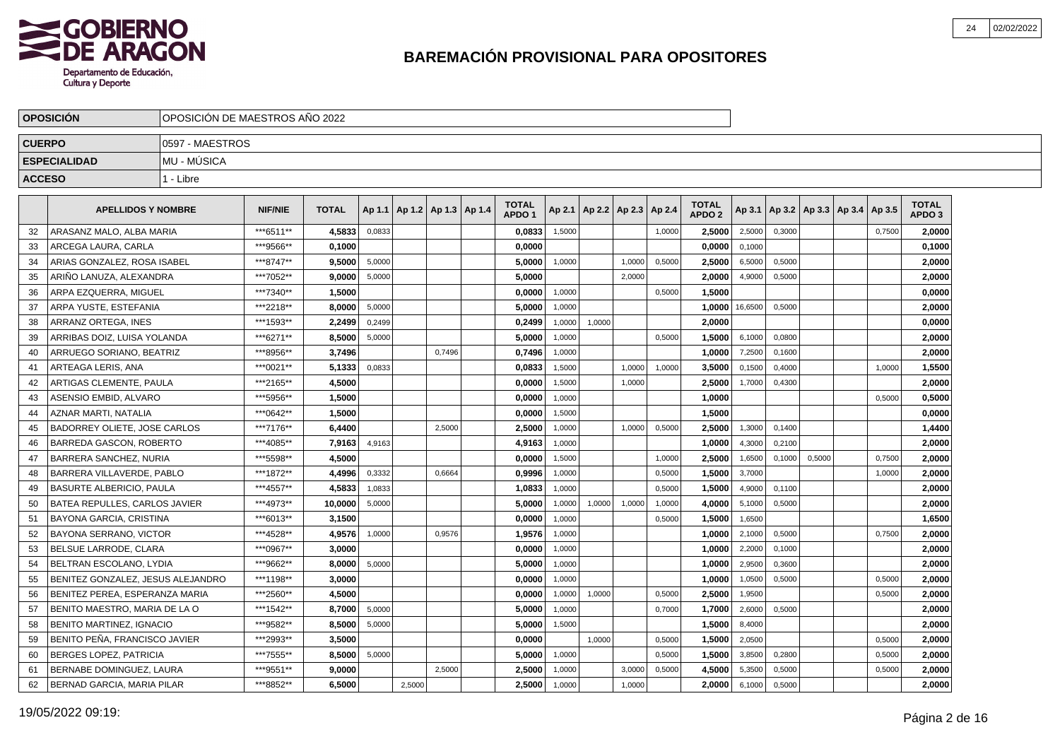

|               | <b>OPOSICIÓN</b>                     | OPOSICIÓN DE MAESTROS AÑO 2022 |                |              |        |                                   |        |                                   |        |        |                          |        |                                   |         |        |                                   |        |                                   |  |
|---------------|--------------------------------------|--------------------------------|----------------|--------------|--------|-----------------------------------|--------|-----------------------------------|--------|--------|--------------------------|--------|-----------------------------------|---------|--------|-----------------------------------|--------|-----------------------------------|--|
| <b>CUERPO</b> |                                      | 0597 - MAESTROS                |                |              |        |                                   |        |                                   |        |        |                          |        |                                   |         |        |                                   |        |                                   |  |
|               | <b>ESPECIALIDAD</b>                  | MU - MÚSICA                    |                |              |        |                                   |        |                                   |        |        |                          |        |                                   |         |        |                                   |        |                                   |  |
| <b>ACCESO</b> |                                      | 1 - Libre                      |                |              |        |                                   |        |                                   |        |        |                          |        |                                   |         |        |                                   |        |                                   |  |
|               | <b>APELLIDOS Y NOMBRE</b>            |                                | <b>NIF/NIE</b> | <b>TOTAL</b> |        | Ap 1.1   Ap 1.2   Ap 1.3   Ap 1.4 |        | <b>TOTAL</b><br>APDO <sub>1</sub> | Ap 2.1 |        | Ap 2.2   Ap 2.3   Ap 2.4 |        | <b>TOTAL</b><br>APDO <sub>2</sub> | Ap 3.1  |        | Ap 3.2   Ap 3.3   Ap 3.4   Ap 3.5 |        | <b>TOTAL</b><br>APDO <sub>3</sub> |  |
| 32            | ARASANZ MALO. ALBA MARIA             |                                | ***6511**      | 4,5833       | 0,0833 |                                   |        | 0,0833                            | 1,5000 |        |                          | 1,0000 | 2,5000                            | 2,5000  | 0,3000 |                                   | 0,7500 | 2,0000                            |  |
| 33            | ARCEGA LAURA, CARLA                  |                                | ***9566**      | 0.1000       |        |                                   |        | 0,0000                            |        |        |                          |        | 0,0000                            | 0,1000  |        |                                   |        | 0,1000                            |  |
| 34            | ARIAS GONZALEZ. ROSA ISABEL          |                                | ***8747**      | 9.5000       | 5,0000 |                                   |        | 5,0000                            | 1,0000 |        | 1.0000                   | 0.5000 | 2,5000                            | 6,5000  | 0,5000 |                                   |        | 2,0000                            |  |
| 35            | ARIÑO LANUZA. ALEXANDRA              |                                | ***7052**      | 9.0000       | 5,0000 |                                   |        | 5.0000                            |        |        | 2.0000                   |        | 2.0000                            | 4,9000  | 0,5000 |                                   |        | 2,0000                            |  |
| 36            | ARPA EZQUERRA, MIGUEL                |                                | ***7340**      | 1,5000       |        |                                   |        | 0,0000                            | 1,0000 |        |                          | 0,5000 | 1,5000                            |         |        |                                   |        | 0,0000                            |  |
| 37            | ARPA YUSTE, ESTEFANIA                |                                | ***2218**      | 8,0000       | 5,0000 |                                   |        | 5,0000                            | 1,0000 |        |                          |        | 1,0000                            | 16,6500 | 0,5000 |                                   |        | 2,0000                            |  |
| 38            | ARRANZ ORTEGA. INES                  |                                | ***1593**      | 2.2499       | 0,2499 |                                   |        | 0,2499                            | 1,0000 | 1,0000 |                          |        | 2,0000                            |         |        |                                   |        | 0,0000                            |  |
| 39            | ARRIBAS DOIZ, LUISA YOLANDA          |                                | ***6271**      | 8,5000       | 5,0000 |                                   |        | 5,0000                            | 1,0000 |        |                          | 0,5000 | 1,5000                            | 6,1000  | 0,0800 |                                   |        | 2,0000                            |  |
| 40            | ARRUEGO SORIANO, BEATRIZ             |                                | ***8956**      | 3,7496       |        |                                   | 0.7496 | 0,7496                            | 1,0000 |        |                          |        | 1,0000                            | 7,2500  | 0.1600 |                                   |        | 2,0000                            |  |
| 41            | ARTEAGA LERIS. ANA                   |                                | ***0021**      | 5.1333       | 0,0833 |                                   |        | 0,0833                            | 1,5000 |        | 1,0000                   | 1,0000 | 3.5000                            | 0,1500  | 0.4000 |                                   | 1,0000 | 1,5500                            |  |
| 42            | ARTIGAS CLEMENTE. PAULA              |                                | ***2165**      | 4.5000       |        |                                   |        | 0.0000                            | 1,5000 |        | 1,0000                   |        | 2.5000                            | 1,7000  | 0,4300 |                                   |        | 2.0000                            |  |
| 43            | ASENSIO EMBID, ALVARO                |                                | ***5956**      | 1,5000       |        |                                   |        | 0,0000                            | 1,0000 |        |                          |        | 1,0000                            |         |        |                                   | 0,5000 | 0,5000                            |  |
| 44            | AZNAR MARTI, NATALIA                 |                                | ***0642**      | 1,5000       |        |                                   |        | 0,0000                            | 1,5000 |        |                          |        | 1,5000                            |         |        |                                   |        | 0,0000                            |  |
| 45            | <b>BADORREY OLIETE, JOSE CARLOS</b>  |                                | ***7176**      | 6.4400       |        |                                   | 2,5000 | 2,5000                            | 1,0000 |        | 1,0000                   | 0,5000 | 2,5000                            | 1,3000  | 0,1400 |                                   |        | 1,4400                            |  |
| 46            | BARREDA GASCON, ROBERTO              |                                | ***4085**      | 7,9163       | 4,9163 |                                   |        | 4,9163                            | 1,0000 |        |                          |        | 1,0000                            | 4,3000  | 0,2100 |                                   |        | 2,0000                            |  |
| 47            | BARRERA SANCHEZ, NURIA               |                                | ***5598**      | 4,5000       |        |                                   |        | 0,0000                            | 1,5000 |        |                          | 1,0000 | 2,5000                            | 1,6500  | 0,1000 | 0,5000                            | 0,7500 | 2,0000                            |  |
| 48            | BARRERA VILLAVERDE, PABLO            |                                | ***1872**      | 4,4996       | 0,3332 |                                   | 0,6664 | 0,9996                            | 1,0000 |        |                          | 0,5000 | 1,5000                            | 3,7000  |        |                                   | 1,0000 | 2,0000                            |  |
| 49            | <b>BASURTE ALBERICIO, PAULA</b>      |                                | ***4557**      | 4,5833       | 1,0833 |                                   |        | 1,0833                            | 1,0000 |        |                          | 0,5000 | 1.5000                            | 4,9000  | 0,1100 |                                   |        | 2,0000                            |  |
| 50            | <b>BATEA REPULLES, CARLOS JAVIER</b> |                                | ***4973**      | 10.0000      | 5,0000 |                                   |        | 5.0000                            | 1.0000 | 1,0000 | 1,0000                   | 1,0000 | 4.0000                            | 5,1000  | 0,5000 |                                   |        | 2.0000                            |  |
| 51            | BAYONA GARCIA, CRISTINA              |                                | ***6013**      | 3,1500       |        |                                   |        | 0,0000                            | 1,0000 |        |                          | 0,5000 | 1,5000                            | 1,6500  |        |                                   |        | 1,6500                            |  |
| 52            | BAYONA SERRANO, VICTOR               |                                | ***4528**      | 4,9576       | 1,0000 |                                   | 0,9576 | 1,9576                            | 1,0000 |        |                          |        | 1,0000                            | 2,1000  | 0,5000 |                                   | 0,7500 | 2,0000                            |  |
| 53            | BELSUE LARRODE, CLARA                |                                | ***0967**      | 3,0000       |        |                                   |        | 0,0000                            | 1,0000 |        |                          |        | 1,0000                            | 2,2000  | 0,1000 |                                   |        | 2,0000                            |  |
| 54            | BELTRAN ESCOLANO, LYDIA              |                                | ***9662**      | 8,0000       | 5,0000 |                                   |        | 5,0000                            | 1,0000 |        |                          |        | 1,0000                            | 2,9500  | 0,3600 |                                   |        | 2,0000                            |  |
| 55            | BENITEZ GONZALEZ, JESUS ALEJANDRO    |                                | ***1198**      | 3,0000       |        |                                   |        | 0,0000                            | 1,0000 |        |                          |        | 1,0000                            | 1,0500  | 0,5000 |                                   | 0,5000 | 2,0000                            |  |
| 56            | BENITEZ PEREA, ESPERANZA MARIA       |                                | ***2560**      | 4.5000       |        |                                   |        | 0.0000                            | 1,0000 | 1,0000 |                          | 0,5000 | 2,5000                            | 1,9500  |        |                                   | 0,5000 | 2,0000                            |  |
| 57            | BENITO MAESTRO. MARIA DE LA O        |                                | ***1542**      | 8.7000       | 5,0000 |                                   |        | 5.0000                            | 1,0000 |        |                          | 0,7000 | 1.7000                            | 2,6000  | 0,5000 |                                   |        | 2.0000                            |  |
| 58            | <b>BENITO MARTINEZ, IGNACIO</b>      |                                | ***9582**      | 8,5000       | 5,0000 |                                   |        | 5,0000                            | 1,5000 |        |                          |        | 1,5000                            | 8,4000  |        |                                   |        | 2,0000                            |  |
| 59            | BENITO PEÑA, FRANCISCO JAVIER        |                                | ***2993**      | 3,5000       |        |                                   |        | 0,0000                            |        | 1,0000 |                          | 0,5000 | 1,5000                            | 2,0500  |        |                                   | 0,5000 | 2,0000                            |  |
| 60            | BERGES LOPEZ, PATRICIA               |                                | ***7555**      | 8,5000       | 5,0000 |                                   |        | 5,0000                            | 1,0000 |        |                          | 0,5000 | 1,5000                            | 3,8500  | 0,2800 |                                   | 0,5000 | 2,0000                            |  |
| 61            | BERNABE DOMINGUEZ, LAURA             |                                | ***9551**      | 9,0000       |        |                                   | 2,5000 | 2,5000                            | 1,0000 |        | 3,0000                   | 0,5000 | 4,5000                            | 5,3500  | 0,5000 |                                   | 0,5000 | 2,0000                            |  |
| 62            | BERNAD GARCIA, MARIA PILAR           |                                | ***8852**      | 6.5000       |        | 2,5000                            |        | 2,5000                            | 1,0000 |        | 1,0000                   |        | 2,0000                            | 6,1000  | 0,5000 |                                   |        | 2,0000                            |  |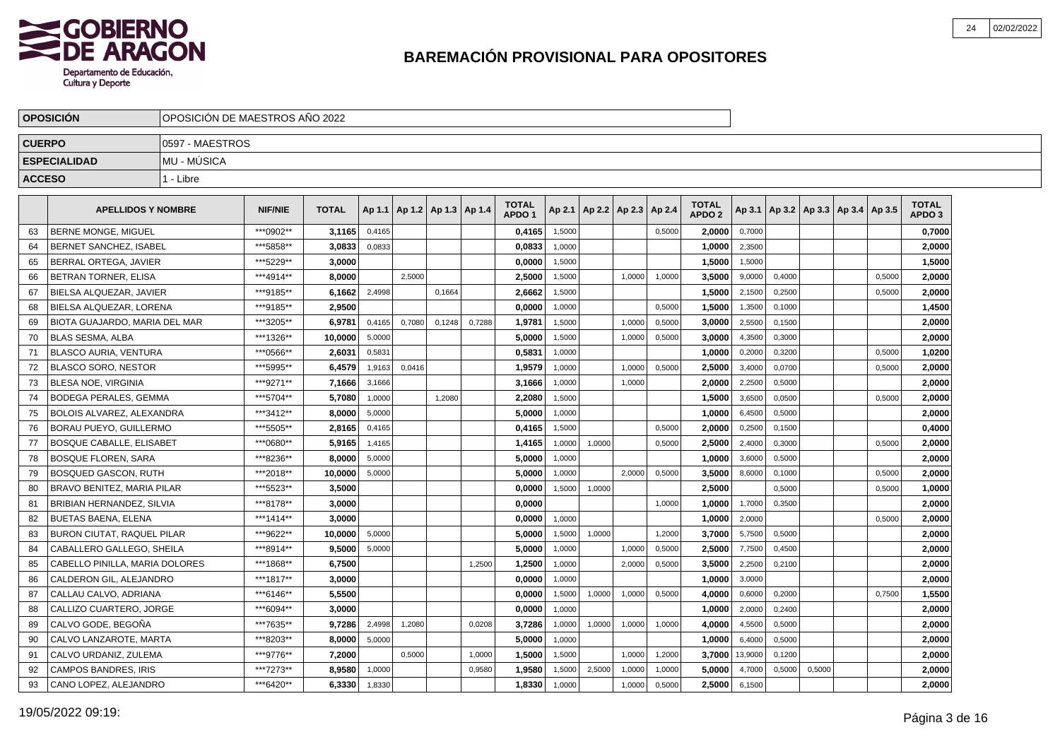

|               | <b>OPOSICIÓN</b>                  | OPOSICIÓN DE MAESTROS AÑO 2022 |                |              |        |                                   |        |        |                                   |        |                          |        |        |                                   |         |        |        |                                            |        |                                   |  |
|---------------|-----------------------------------|--------------------------------|----------------|--------------|--------|-----------------------------------|--------|--------|-----------------------------------|--------|--------------------------|--------|--------|-----------------------------------|---------|--------|--------|--------------------------------------------|--------|-----------------------------------|--|
| <b>CUERPO</b> |                                   | 0597 - MAESTROS                |                |              |        |                                   |        |        |                                   |        |                          |        |        |                                   |         |        |        |                                            |        |                                   |  |
|               | <b>ESPECIALIDAD</b>               | <b>MU - MUSICA</b>             |                |              |        |                                   |        |        |                                   |        |                          |        |        |                                   |         |        |        |                                            |        |                                   |  |
| <b>ACCESO</b> |                                   | 1 - Libre                      |                |              |        |                                   |        |        |                                   |        |                          |        |        |                                   |         |        |        |                                            |        |                                   |  |
|               | <b>APELLIDOS Y NOMBRE</b>         |                                | <b>NIF/NIE</b> | <b>TOTAL</b> |        | Ap 1.1   Ap 1.2   Ap 1.3   Ap 1.4 |        |        | <b>TOTAL</b><br>APDO <sub>1</sub> | Ap 2.1 | Ap 2.2   Ap 2.3   Ap 2.4 |        |        | <b>TOTAL</b><br>APDO <sub>2</sub> |         |        |        | Ap 3.1   Ap 3.2   Ap 3.3   Ap 3.4   Ap 3.5 |        | <b>TOTAL</b><br>APDO <sub>3</sub> |  |
| 63            | <b>BERNE MONGE, MIGUEL</b>        |                                | ***0902**      | 3,1165       | 0,4165 |                                   |        |        | 0,4165                            | 1,5000 |                          |        | 0,5000 | 2,0000                            | 0,7000  |        |        |                                            |        | 0,7000                            |  |
| 64            | <b>BERNET SANCHEZ. ISABEL</b>     |                                | ***5858**      | 3,0833       | 0,0833 |                                   |        |        | 0,0833                            | 1,0000 |                          |        |        | 1,0000                            | 2,3500  |        |        |                                            |        | 2,0000                            |  |
| 65            | BERRAL ORTEGA, JAVIER             |                                | ***5229**      | 3,0000       |        |                                   |        |        | 0,0000                            | 1,5000 |                          |        |        | 1,5000                            | 1,5000  |        |        |                                            |        | 1,5000                            |  |
| 66            | BETRAN TORNER, ELISA              |                                | ***4914**      | 8.0000       |        | 2.5000                            |        |        | 2,5000                            | 1,5000 |                          | 1.0000 | 1.0000 | 3.5000                            | 9,0000  | 0.4000 |        |                                            | 0.5000 | 2,0000                            |  |
| 67            | BIELSA ALQUEZAR, JAVIER           |                                | ***9185**      | 6,1662       | 2,4998 |                                   | 0,1664 |        | 2,6662                            | 1,5000 |                          |        |        | 1,5000                            | 2,1500  | 0,2500 |        |                                            | 0,5000 | 2,0000                            |  |
| 68            | BIELSA ALQUEZAR, LORENA           |                                | ***9185**      | 2,9500       |        |                                   |        |        | 0,0000                            | 1,0000 |                          |        | 0,5000 | 1,5000                            | 1,3500  | 0,1000 |        |                                            |        | 1,4500                            |  |
| 69            | BIOTA GUAJARDO. MARIA DEL MAR     |                                | ***3205**      | 6,9781       | 0,4165 | 0,7080                            | 0.1248 | 0,7288 | 1,9781                            | 1,5000 |                          | 1.0000 | 0,5000 | 3,0000                            | 2,5500  | 0.1500 |        |                                            |        | 2,0000                            |  |
| 70            | <b>BLAS SESMA, ALBA</b>           |                                | ***1326**      | 10.0000      | 5,0000 |                                   |        |        | 5,0000                            | 1,5000 |                          | 1,0000 | 0,5000 | 3.0000                            | 4,3500  | 0,3000 |        |                                            |        | 2.0000                            |  |
| 71            | <b>BLASCO AURIA, VENTURA</b>      |                                | ***0566**      | 2.6031       | 0,5831 |                                   |        |        | 0,5831                            | 1.0000 |                          |        |        | 1.0000                            | 0,2000  | 0,3200 |        |                                            | 0,5000 | 1.0200                            |  |
| 72            | <b>BLASCO SORO, NESTOR</b>        |                                | ***5995**      | 6,4579       | 1,9163 | 0,0416                            |        |        | 1,9579                            | 1,0000 |                          | 1,0000 | 0,5000 | 2,5000                            | 3,4000  | 0,0700 |        |                                            | 0,5000 | 2,0000                            |  |
| 73            | <b>BLESA NOE, VIRGINIA</b>        |                                | ***9271**      | 7,1666       | 3,1666 |                                   |        |        | 3,1666                            | 1,0000 |                          | 1,0000 |        | 2,0000                            | 2,2500  | 0,5000 |        |                                            |        | 2,0000                            |  |
| 74            | <b>BODEGA PERALES, GEMMA</b>      |                                | ***5704**      | 5,7080       | 1,0000 |                                   | 1,2080 |        | 2,2080                            | 1,5000 |                          |        |        | 1,5000                            | 3,6500  | 0,0500 |        |                                            | 0,5000 | 2,0000                            |  |
| 75            | BOLOIS ALVAREZ, ALEXANDRA         |                                | ***3412**      | 8.0000       | 5,0000 |                                   |        |        | 5,0000                            | 1,0000 |                          |        |        | 1.0000                            | 6,4500  | 0,5000 |        |                                            |        | 2,0000                            |  |
| 76            | <b>BORAU PUEYO, GUILLERMO</b>     |                                | ***5505**      | 2.8165       | 0,4165 |                                   |        |        | 0.4165                            | 1.5000 |                          |        | 0.5000 | 2.0000                            | 0,2500  | 0.1500 |        |                                            |        | 0,4000                            |  |
| 77            | <b>BOSQUE CABALLE, ELISABET</b>   |                                | ***0680**      | 5,9165       | 1,4165 |                                   |        |        | 1,4165                            | 1,0000 | 1,0000                   |        | 0,5000 | 2,5000                            | 2,4000  | 0,3000 |        |                                            | 0,5000 | 2,0000                            |  |
| 78            | <b>BOSQUE FLOREN, SARA</b>        |                                | ***8236**      | 8,0000       | 5,0000 |                                   |        |        | 5,0000                            | 1,0000 |                          |        |        | 1,0000                            | 3,6000  | 0,5000 |        |                                            |        | 2,0000                            |  |
| 79            | <b>BOSQUED GASCON, RUTH</b>       |                                | ***2018**      | 10,0000      | 5,0000 |                                   |        |        | 5,0000                            | 1,0000 |                          | 2.0000 | 0,5000 | 3,5000                            | 8,6000  | 0,1000 |        |                                            | 0,5000 | 2,0000                            |  |
| 80            | <b>BRAVO BENITEZ, MARIA PILAR</b> |                                | ***5523**      | 3.5000       |        |                                   |        |        | 0.0000                            | 1,5000 | 1,0000                   |        |        | 2.5000                            |         | 0,5000 |        |                                            | 0,5000 | 1,0000                            |  |
| 81            | BRIBIAN HERNANDEZ, SILVIA         |                                | ***8178**      | 3.0000       |        |                                   |        |        | 0.0000                            |        |                          |        | 1,0000 | 1.0000                            | 1,7000  | 0.3500 |        |                                            |        | 2.0000                            |  |
| 82            | <b>BUETAS BAENA, ELENA</b>        |                                | ***1414**      | 3,0000       |        |                                   |        |        | 0,0000                            | 1,0000 |                          |        |        | 1,0000                            | 2,0000  |        |        |                                            | 0,5000 | 2,0000                            |  |
| 83            | <b>BURON CIUTAT, RAQUEL PILAR</b> |                                | ***9622**      | 10.0000      | 5,0000 |                                   |        |        | 5.0000                            | 1,5000 | 1,0000                   |        | 1,2000 | 3,7000                            | 5,7500  | 0,5000 |        |                                            |        | 2,0000                            |  |
| 84            | CABALLERO GALLEGO, SHEILA         |                                | ***8914**      | 9,5000       | 5,0000 |                                   |        |        | 5,0000                            | 1,0000 |                          | 1,0000 | 0,5000 | 2,5000                            | 7,7500  | 0,4500 |        |                                            |        | 2,0000                            |  |
| 85            | CABELLO PINILLA. MARIA DOLORES    |                                | ***1868**      | 6,7500       |        |                                   |        | 1.2500 | 1,2500                            | 1.0000 |                          | 2.0000 | 0,5000 | 3,5000                            | 2,2500  | 0.2100 |        |                                            |        | 2,0000                            |  |
| 86            | CALDERON GIL, ALEJANDRO           |                                | ***1817**      | 3,0000       |        |                                   |        |        | 0,0000                            | 1,0000 |                          |        |        | 1,0000                            | 3,0000  |        |        |                                            |        | 2,0000                            |  |
| 87            | CALLAU CALVO, ADRIANA             |                                | ***6146**      | 5,5500       |        |                                   |        |        | 0,0000                            | 1,5000 | 1,0000                   | 1,0000 | 0,5000 | 4,0000                            | 0,6000  | 0,2000 |        |                                            | 0,7500 | 1,5500                            |  |
| 88            | CALLIZO CUARTERO, JORGE           |                                | ***6094**      | 3.0000       |        |                                   |        |        | 0,0000                            | 1,0000 |                          |        |        | 1.0000                            | 2,0000  | 0,2400 |        |                                            |        | 2,0000                            |  |
| 89            | CALVO GODE. BEGOÑA                |                                | ***7635**      | 9.7286       | 2,4998 | 1,2080                            |        | 0,0208 | 3,7286                            | 1,0000 | 1,0000                   | 1,0000 | 1,0000 | 4,0000                            | 4,5500  | 0,5000 |        |                                            |        | 2,0000                            |  |
| 90            | CALVO LANZAROTE. MARTA            |                                | ***8203**      | 8.0000       | 5,0000 |                                   |        |        | 5.0000                            | 1,0000 |                          |        |        | 1.0000                            | 6,4000  | 0,5000 |        |                                            |        | 2,0000                            |  |
| 91            | CALVO URDANIZ, ZULEMA             |                                | ***9776**      | 7,2000       |        | 0,5000                            |        | 1,0000 | 1,5000                            | 1,5000 |                          | 1,0000 | 1,2000 | 3,7000                            | 13,9000 | 0,1200 |        |                                            |        | 2,0000                            |  |
| 92            | CAMPOS BANDRES, IRIS              |                                | ***7273**      | 8,9580       | 1,0000 |                                   |        | 0,9580 | 1,9580                            | 1,5000 | 2,5000                   | 1,0000 | 1,0000 | 5,0000                            | 4,7000  | 0,5000 | 0,5000 |                                            |        | 2,0000                            |  |
| 93            | CANO LOPEZ, ALEJANDRO             |                                | ***6420**      | 6,3330       | 1,8330 |                                   |        |        | 1,8330                            | 1,0000 |                          | 1,0000 | 0,5000 | 2,5000                            | 6,1500  |        |        |                                            |        | 2,0000                            |  |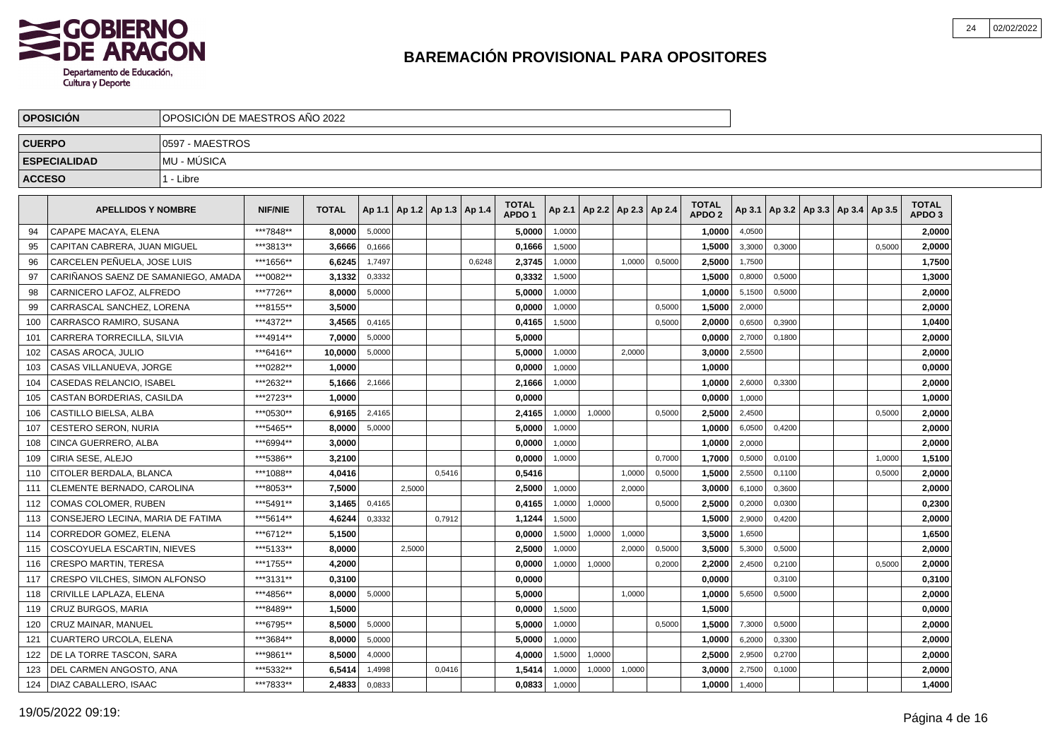

|               | <b>OPOSICIÓN</b>                    | OPOSICIÓN DE MAESTROS AÑO 2022 |                |              |        |                                   |        |        |                                   |        |        |                          |        |                               |        |        |                                            |        |                                   |  |
|---------------|-------------------------------------|--------------------------------|----------------|--------------|--------|-----------------------------------|--------|--------|-----------------------------------|--------|--------|--------------------------|--------|-------------------------------|--------|--------|--------------------------------------------|--------|-----------------------------------|--|
| <b>CUERPO</b> |                                     | 0597 - MAESTROS                |                |              |        |                                   |        |        |                                   |        |        |                          |        |                               |        |        |                                            |        |                                   |  |
|               | <b>ESPECIALIDAD</b>                 | MU - MÚSICA                    |                |              |        |                                   |        |        |                                   |        |        |                          |        |                               |        |        |                                            |        |                                   |  |
| <b>ACCESO</b> |                                     | 1 - Libre                      |                |              |        |                                   |        |        |                                   |        |        |                          |        |                               |        |        |                                            |        |                                   |  |
|               | <b>APELLIDOS Y NOMBRE</b>           |                                | <b>NIF/NIE</b> | <b>TOTAL</b> |        | Ap 1.1   Ap 1.2   Ap 1.3   Ap 1.4 |        |        | <b>TOTAL</b><br>APDO <sub>1</sub> | Ap 2.1 |        | Ap 2.2   Ap 2.3   Ap 2.4 |        | <b>TOTAL</b><br><b>APDO 2</b> |        |        | Ap 3.1   Ap 3.2   Ap 3.3   Ap 3.4   Ap 3.5 |        | <b>TOTAL</b><br>APDO <sub>3</sub> |  |
| 94            | CAPAPE MACAYA, ELENA                |                                | ***7848**      | 8,0000       | 5,0000 |                                   |        |        | 5,0000                            | 1,0000 |        |                          |        | 1,0000                        | 4,0500 |        |                                            |        | 2,0000                            |  |
| 95            | CAPITAN CABRERA. JUAN MIGUEL        |                                | ***3813**      | 3,6666       | 0,1666 |                                   |        |        | 0,1666                            | 1,5000 |        |                          |        | 1,5000                        | 3,3000 | 0,3000 |                                            | 0,5000 | 2,0000                            |  |
| 96            | CARCELEN PEÑUELA. JOSE LUIS         |                                | ***1656**      | 6,6245       | 1,7497 |                                   |        | 0.6248 | 2,3745                            | 1,0000 |        | 1.0000                   | 0,5000 | 2,5000                        | 1,7500 |        |                                            |        | 1,7500                            |  |
| 97            | CARIÑANOS SAENZ DE SAMANIEGO. AMADA |                                | ***0082**      | 3.1332       | 0,3332 |                                   |        |        | 0.3332                            | 1,5000 |        |                          |        | 1.5000                        | 0,8000 | 0,5000 |                                            |        | 1,3000                            |  |
| 98            | CARNICERO LAFOZ, ALFREDO            |                                | ***7726**      | 8,0000       | 5,0000 |                                   |        |        | 5,0000                            | 1,0000 |        |                          |        | 1,0000                        | 5,1500 | 0,5000 |                                            |        | 2,0000                            |  |
| 99            | CARRASCAL SANCHEZ, LORENA           |                                | ***8155**      | 3,5000       |        |                                   |        |        | 0,0000                            | 1,0000 |        |                          | 0,5000 | 1,5000                        | 2,0000 |        |                                            |        | 2,0000                            |  |
| 100           | CARRASCO RAMIRO, SUSANA             |                                | ***4372**      | 3,4565       | 0,4165 |                                   |        |        | 0,4165                            | 1,5000 |        |                          | 0,5000 | 2.0000                        | 0,6500 | 0,3900 |                                            |        | 1,0400                            |  |
| 101           | CARRERA TORRECILLA, SILVIA          |                                | ***4914**      | 7,0000       | 5,0000 |                                   |        |        | 5,0000                            |        |        |                          |        | 0,0000                        | 2,7000 | 0,1800 |                                            |        | 2,0000                            |  |
| 102           | CASAS AROCA, JULIO                  |                                | ***6416**      | 10,0000      | 5,0000 |                                   |        |        | 5,0000                            | 1,0000 |        | 2.0000                   |        | 3,0000                        | 2,5500 |        |                                            |        | 2,0000                            |  |
| 103           | CASAS VILLANUEVA, JORGE             |                                | ***0282**      | 1.0000       |        |                                   |        |        | 0.0000                            | 1,0000 |        |                          |        | 1.0000                        |        |        |                                            |        | 0.0000                            |  |
| 104           | CASEDAS RELANCIO. ISABEL            |                                | ***2632**      | 5.1666       | 2,1666 |                                   |        |        | 2,1666                            | 1,0000 |        |                          |        | 1.0000                        | 2,6000 | 0,3300 |                                            |        | 2,0000                            |  |
| 105           | CASTAN BORDERIAS, CASILDA           |                                | ***2723**      | 1,0000       |        |                                   |        |        | 0,0000                            |        |        |                          |        | 0,0000                        | 1,0000 |        |                                            |        | 1,0000                            |  |
| 106           | CASTILLO BIELSA, ALBA               |                                | ***0530**      | 6,9165       | 2,4165 |                                   |        |        | 2,4165                            | 1,0000 | 1,0000 |                          | 0,5000 | 2,5000                        | 2,4500 |        |                                            | 0,5000 | 2,0000                            |  |
| 107           | <b>CESTERO SERON, NURIA</b>         |                                | ***5465**      | 8,0000       | 5,0000 |                                   |        |        | 5,0000                            | 1,0000 |        |                          |        | 1,0000                        | 6,0500 | 0,4200 |                                            |        | 2,0000                            |  |
| 108           | CINCA GUERRERO, ALBA                |                                | ***6994**      | 3,0000       |        |                                   |        |        | 0,0000                            | 1,0000 |        |                          |        | 1,0000                        | 2,0000 |        |                                            |        | 2,0000                            |  |
| 109           | CIRIA SESE, ALEJO                   |                                | ***5386**      | 3,2100       |        |                                   |        |        | 0,0000                            | 1,0000 |        |                          | 0,7000 | 1,7000                        | 0,5000 | 0,0100 |                                            | 1,0000 | 1,5100                            |  |
| 110           | CITOLER BERDALA, BLANCA             |                                | ***1088**      | 4,0416       |        |                                   | 0,5416 |        | 0,5416                            |        |        | 1,0000                   | 0,5000 | 1,5000                        | 2,5500 | 0,1100 |                                            | 0,5000 | 2,0000                            |  |
| 111           | CLEMENTE BERNADO, CAROLINA          |                                | ***8053**      | 7.5000       |        | 2.5000                            |        |        | 2,5000                            | 1,0000 |        | 2.0000                   |        | 3,0000                        | 6,1000 | 0,3600 |                                            |        | 2,0000                            |  |
| 112           | COMAS COLOMER. RUBEN                |                                | ***5491**      | 3.1465       | 0,4165 |                                   |        |        | 0.4165                            | 1,0000 | 1,0000 |                          | 0,5000 | 2.5000                        | 0,2000 | 0,0300 |                                            |        | 0.2300                            |  |
| 113           | CONSEJERO LECINA, MARIA DE FATIMA   |                                | ***5614**      | 4,6244       | 0,3332 |                                   | 0,7912 |        | 1,1244                            | 1,5000 |        |                          |        | 1,5000                        | 2,9000 | 0,4200 |                                            |        | 2,0000                            |  |
| 114           | CORREDOR GOMEZ, ELENA               |                                | ***6712**      | 5,1500       |        |                                   |        |        | 0,0000                            | 1,5000 | 1,0000 | 1,0000                   |        | 3,5000                        | 1,6500 |        |                                            |        | 1,6500                            |  |
| 115           | COSCOYUELA ESCARTIN, NIEVES         |                                | ***5133**      | 8,0000       |        | 2,5000                            |        |        | 2,5000                            | 1,0000 |        | 2,0000                   | 0,5000 | 3,5000                        | 5,3000 | 0,5000 |                                            |        | 2,0000                            |  |
| 116           | CRESPO MARTIN, TERESA               |                                | ***1755**      | 4,2000       |        |                                   |        |        | 0,0000                            | 1,0000 | 1,0000 |                          | 0,2000 | 2,2000                        | 2,4500 | 0,2100 |                                            | 0,5000 | 2,0000                            |  |
| 117           | CRESPO VILCHES, SIMON ALFONSO       |                                | ***3131**      | 0,3100       |        |                                   |        |        | 0,0000                            |        |        |                          |        | 0,0000                        |        | 0,3100 |                                            |        | 0,3100                            |  |
| 118           | CRIVILLE LAPLAZA, ELENA             |                                | ***4856**      | 8.0000       | 5,0000 |                                   |        |        | 5.0000                            |        |        | 1,0000                   |        | 1.0000                        | 5,6500 | 0,5000 |                                            |        | 2,0000                            |  |
| 119           | CRUZ BURGOS, MARIA                  |                                | ***8489**      | 1.5000       |        |                                   |        |        | 0.0000                            | 1,5000 |        |                          |        | 1.5000                        |        |        |                                            |        | 0.0000                            |  |
| 120           | CRUZ MAINAR, MANUEL                 |                                | ***6795**      | 8,5000       | 5,0000 |                                   |        |        | 5,0000                            | 1,0000 |        |                          | 0.5000 | 1,5000                        | 7,3000 | 0,5000 |                                            |        | 2,0000                            |  |
| 121           | CUARTERO URCOLA, ELENA              |                                | ***3684**      | 8,0000       | 5,0000 |                                   |        |        | 5,0000                            | 1,0000 |        |                          |        | 1,0000                        | 6,2000 | 0,3300 |                                            |        | 2,0000                            |  |
| 122           | DE LA TORRE TASCON, SARA            |                                | ***9861**      | 8,5000       | 4,0000 |                                   |        |        | 4,0000                            | 1,5000 | 1,0000 |                          |        | 2,5000                        | 2,9500 | 0,2700 |                                            |        | 2,0000                            |  |
| 123           | DEL CARMEN ANGOSTO, ANA             |                                | ***5332**      | 6,5414       | 1,4998 |                                   | 0,0416 |        | 1,5414                            | 1,0000 | 1,0000 | 1,0000                   |        | 3,0000                        | 2,7500 | 0,1000 |                                            |        | 2,0000                            |  |
| 124           | DIAZ CABALLERO, ISAAC               |                                | ***7833**      | 2,4833       | 0,0833 |                                   |        |        | 0,0833                            | 1,0000 |        |                          |        | 1,0000                        | 1,4000 |        |                                            |        | 1,4000                            |  |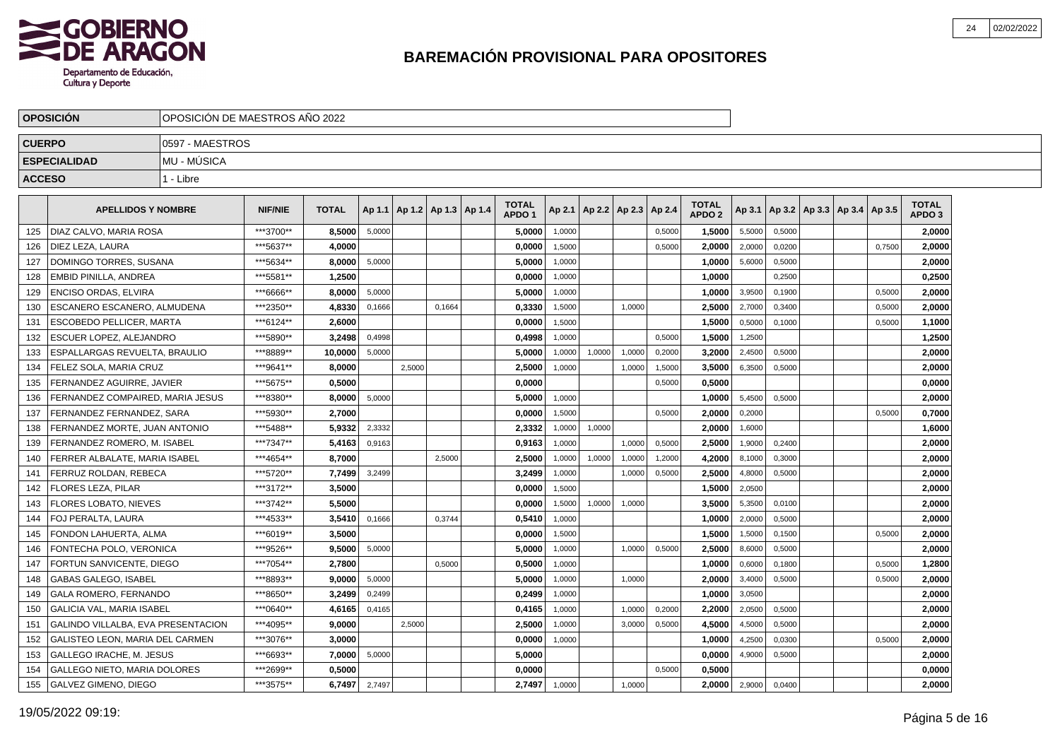

|               | <b>OPOSICIÓN</b>                          |                 | OPOSICIÓN DE MAESTROS AÑO 2022 |              |        |                                   |        |  |                                   |        |                          |        |        |                                   |        |        |                                   |        |                                   |  |
|---------------|-------------------------------------------|-----------------|--------------------------------|--------------|--------|-----------------------------------|--------|--|-----------------------------------|--------|--------------------------|--------|--------|-----------------------------------|--------|--------|-----------------------------------|--------|-----------------------------------|--|
| <b>CUERPO</b> |                                           | 0597 - MAESTROS |                                |              |        |                                   |        |  |                                   |        |                          |        |        |                                   |        |        |                                   |        |                                   |  |
|               | <b>ESPECIALIDAD</b>                       | MU - MÚSICA     |                                |              |        |                                   |        |  |                                   |        |                          |        |        |                                   |        |        |                                   |        |                                   |  |
| <b>ACCESO</b> |                                           | 1 - Libre       |                                |              |        |                                   |        |  |                                   |        |                          |        |        |                                   |        |        |                                   |        |                                   |  |
|               | <b>APELLIDOS Y NOMBRE</b>                 |                 | <b>NIF/NIE</b>                 | <b>TOTAL</b> |        | Ap 1.1   Ap 1.2   Ap 1.3   Ap 1.4 |        |  | <b>TOTAL</b><br>APDO <sub>1</sub> | Ap 2.1 | Ap 2.2   Ap 2.3   Ap 2.4 |        |        | <b>TOTAL</b><br>APDO <sub>2</sub> | Ap 3.1 |        | Ap 3.2   Ap 3.3   Ap 3.4   Ap 3.5 |        | <b>TOTAL</b><br>APDO <sub>3</sub> |  |
| 125           | DIAZ CALVO, MARIA ROSA                    |                 | ***3700**                      | 8,5000       | 5,0000 |                                   |        |  | 5,0000                            | 1.0000 |                          |        | 0,5000 | 1,5000                            | 5,5000 | 0,5000 |                                   |        | 2,0000                            |  |
| 126           | DIEZ LEZA. LAURA                          |                 | ***5637**                      | 4,0000       |        |                                   |        |  | 0,0000                            | 1,5000 |                          |        | 0,5000 | 2,0000                            | 2,0000 | 0,0200 |                                   | 0,7500 | 2,0000                            |  |
| 127           | DOMINGO TORRES, SUSANA                    |                 | ***5634**                      | 8,0000       | 5,0000 |                                   |        |  | 5,0000                            | 1,0000 |                          |        |        | 1,0000                            | 5,6000 | 0,5000 |                                   |        | 2,0000                            |  |
| 128           | EMBID PINILLA, ANDREA                     |                 | ***5581**                      | 1,2500       |        |                                   |        |  | 0,0000                            | 1,0000 |                          |        |        | 1,0000                            |        | 0,2500 |                                   |        | 0,2500                            |  |
| 129           | <b>ENCISO ORDAS, ELVIRA</b>               |                 | ***6666**                      | 8.0000       | 5,0000 |                                   |        |  | 5,0000                            | 1,0000 |                          |        |        | 1,0000                            | 3,9500 | 0,1900 |                                   | 0,5000 | 2,0000                            |  |
| 130           | ESCANERO ESCANERO. ALMUDENA               |                 | ***2350**                      | 4,8330       | 0,1666 |                                   | 0.1664 |  | 0,3330                            | 1,5000 |                          | 1,0000 |        | 2,5000                            | 2,7000 | 0,3400 |                                   | 0,5000 | 2,0000                            |  |
| 131           | ESCOBEDO PELLICER. MARTA                  |                 | ***6124**                      | 2.6000       |        |                                   |        |  | 0,0000                            | 1,5000 |                          |        |        | 1,5000                            | 0,5000 | 0,1000 |                                   | 0,5000 | 1,1000                            |  |
| 132           | ESCUER LOPEZ. ALEJANDRO                   |                 | ***5890**                      | 3.2498       | 0,4998 |                                   |        |  | 0.4998                            | 1.0000 |                          |        | 0,5000 | 1.5000                            | 1,2500 |        |                                   |        | 1,2500                            |  |
| 133           | ESPALLARGAS REVUELTA, BRAULIO             |                 | ***8889**                      | 10,0000      | 5,0000 |                                   |        |  | 5,0000                            | 1,0000 | 1,0000                   | 1,0000 | 0,2000 | 3,2000                            | 2,4500 | 0,5000 |                                   |        | 2,0000                            |  |
| 134           | FELEZ SOLA, MARIA CRUZ                    |                 | ***9641**                      | 8,0000       |        | 2,5000                            |        |  | 2,5000                            | 1,0000 |                          | 1,0000 | 1,5000 | 3,5000                            | 6,3500 | 0,5000 |                                   |        | 2,0000                            |  |
| 135           | FERNANDEZ AGUIRRE, JAVIER                 |                 | ***5675**                      | 0,5000       |        |                                   |        |  | 0,0000                            |        |                          |        | 0,5000 | 0,5000                            |        |        |                                   |        | 0,0000                            |  |
| 136           | FERNANDEZ COMPAIRED, MARIA JESUS          |                 | ***8380**                      | 8,0000       | 5,0000 |                                   |        |  | 5,0000                            | 1,0000 |                          |        |        | 1,0000                            | 5,4500 | 0,5000 |                                   |        | 2,0000                            |  |
| 137           | FERNANDEZ FERNANDEZ. SARA                 |                 | ***5930**                      | 2,7000       |        |                                   |        |  | 0,0000                            | 1.5000 |                          |        | 0,5000 | 2,0000                            | 0,2000 |        |                                   | 0,5000 | 0,7000                            |  |
| 138           | FERNANDEZ MORTE. JUAN ANTONIO             |                 | ***5488**                      | 5,9332       | 2,3332 |                                   |        |  | 2,3332                            | 1,0000 | 1,0000                   |        |        | 2.0000                            | 1,6000 |        |                                   |        | 1,6000                            |  |
| 139           | FERNANDEZ ROMERO. M. ISABEL               |                 | ***7347**                      | 5,4163       | 0,9163 |                                   |        |  | 0.9163                            | 1.0000 |                          | 1.0000 | 0,5000 | 2.5000                            | 1,9000 | 0.2400 |                                   |        | 2,0000                            |  |
| 140           | FERRER ALBALATE, MARIA ISABEL             |                 | ***4654**                      | 8,7000       |        |                                   | 2,5000 |  | 2,5000                            | 1,0000 | 1,0000                   | 1,0000 | 1,2000 | 4,2000                            | 8,1000 | 0,3000 |                                   |        | 2,0000                            |  |
| 141           | FERRUZ ROLDAN, REBECA                     |                 | ***5720**                      | 7,7499       | 3,2499 |                                   |        |  | 3,2499                            | 1,0000 |                          | 1,0000 | 0,5000 | 2,5000                            | 4,8000 | 0,5000 |                                   |        | 2,0000                            |  |
| 142           | FLORES LEZA, PILAR                        |                 | ***3172**                      | 3,5000       |        |                                   |        |  | 0,0000                            | 1,5000 |                          |        |        | 1,5000                            | 2,0500 |        |                                   |        | 2,0000                            |  |
| 143           | FLORES LOBATO. NIEVES                     |                 | ***3742**                      | 5,5000       |        |                                   |        |  | 0,0000                            | 1,5000 | 1,0000                   | 1,0000 |        | 3,5000                            | 5,3500 | 0,0100 |                                   |        | 2,0000                            |  |
| 144           | FOJ PERALTA. LAURA                        |                 | ***4533**                      | 3,5410       | 0,1666 |                                   | 0,3744 |  | 0,5410                            | 1.0000 |                          |        |        | 1.0000                            | 2,0000 | 0,5000 |                                   |        | 2,0000                            |  |
| 145           | FONDON LAHUERTA, ALMA                     |                 | ***6019**                      | 3.5000       |        |                                   |        |  | 0.0000                            | 1,5000 |                          |        |        | 1.5000                            | 1,5000 | 0,1500 |                                   | 0,5000 | 2.0000                            |  |
| 146           | FONTECHA POLO, VERONICA                   |                 | ***9526**                      | 9,5000       | 5,0000 |                                   |        |  | 5,0000                            | 1,0000 |                          | 1,0000 | 0,5000 | 2,5000                            | 8,6000 | 0,5000 |                                   |        | 2,0000                            |  |
| 147           | FORTUN SANVICENTE, DIEGO                  |                 | ***7054**                      | 2,7800       |        |                                   | 0,5000 |  | 0,5000                            | 1,0000 |                          |        |        | 1,0000                            | 0,6000 | 0,1800 |                                   | 0,5000 | 1,2800                            |  |
| 148           | <b>GABAS GALEGO, ISABEL</b>               |                 | ***8893**                      | 9.0000       | 5,0000 |                                   |        |  | 5,0000                            | 1,0000 |                          | 1,0000 |        | 2,0000                            | 3,4000 | 0,5000 |                                   | 0,5000 | 2,0000                            |  |
| 149           | GALA ROMERO, FERNANDO                     |                 | ***8650**                      | 3,2499       | 0,2499 |                                   |        |  | 0,2499                            | 1,0000 |                          |        |        | 1,0000                            | 3,0500 |        |                                   |        | 2,0000                            |  |
| 150           | <b>GALICIA VAL. MARIA ISABEL</b>          |                 | ***0640**                      | 4,6165       | 0,4165 |                                   |        |  | 0,4165                            | 1,0000 |                          | 1.0000 | 0,2000 | 2,2000                            | 2,0500 | 0,5000 |                                   |        | 2,0000                            |  |
| 151           | <b>GALINDO VILLALBA, EVA PRESENTACION</b> |                 | ***4095**                      | 9.0000       |        | 2,5000                            |        |  | 2,5000                            | 1,0000 |                          | 3,0000 | 0,5000 | 4,5000                            | 4,5000 | 0,5000 |                                   |        | 2,0000                            |  |
| 152           | GALISTEO LEON, MARIA DEL CARMEN           |                 | ***3076**                      | 3,0000       |        |                                   |        |  | 0,0000                            | 1,0000 |                          |        |        | 1,0000                            | 4,2500 | 0,0300 |                                   | 0,5000 | 2,0000                            |  |
| 153           | GALLEGO IRACHE, M. JESUS                  |                 | ***6693**                      | 7,0000       | 5,0000 |                                   |        |  | 5,0000                            |        |                          |        |        | 0,0000                            | 4,9000 | 0,5000 |                                   |        | 2,0000                            |  |
| 154           | GALLEGO NIETO, MARIA DOLORES              |                 | ***2699**                      | 0,5000       |        |                                   |        |  | 0,0000                            |        |                          |        | 0,5000 | 0,5000                            |        |        |                                   |        | 0,0000                            |  |
| 155           | GALVEZ GIMENO, DIEGO                      |                 | ***3575**                      | 6,7497       | 2,7497 |                                   |        |  | 2,7497                            | 1,0000 |                          | 1,0000 |        | 2.0000                            | 2,9000 | 0,0400 |                                   |        | 2,0000                            |  |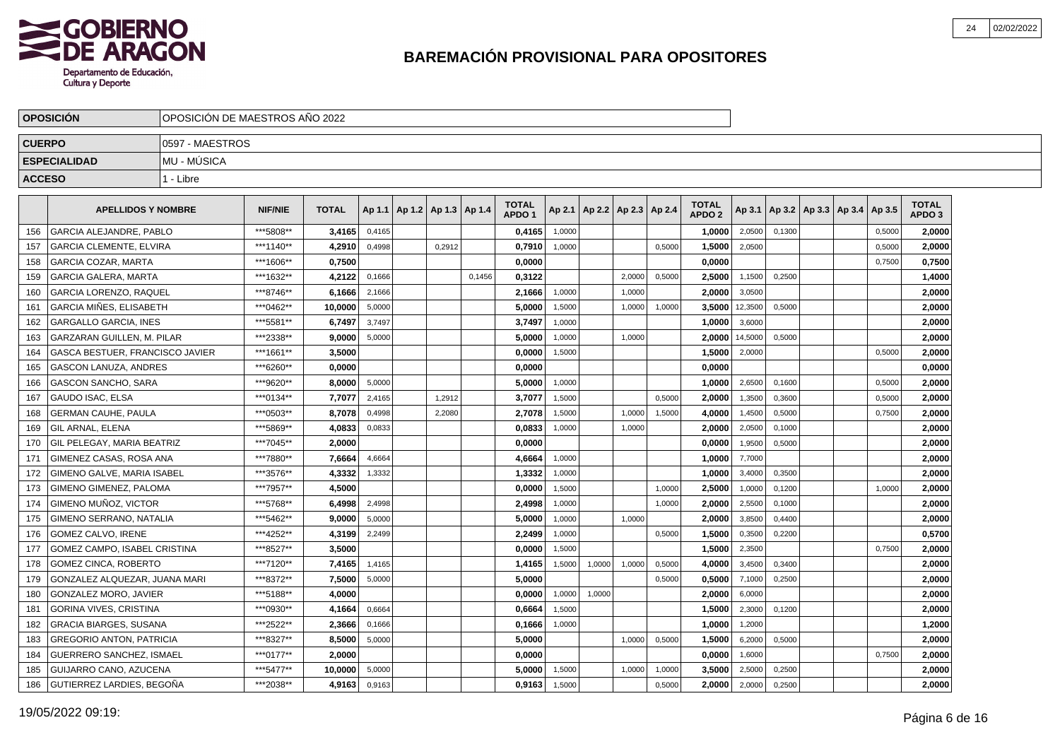

|     | <b>OPOSICION</b>                  | OPOSICIÓN DE MAESTROS AÑO 2022 |                |              |        |                                   |        |        |                                   |        |        |                          |        |                                   |         |        |                                   |        |                                   |  |
|-----|-----------------------------------|--------------------------------|----------------|--------------|--------|-----------------------------------|--------|--------|-----------------------------------|--------|--------|--------------------------|--------|-----------------------------------|---------|--------|-----------------------------------|--------|-----------------------------------|--|
|     | <b>CUERPO</b>                     | 0597 - MAESTROS                |                |              |        |                                   |        |        |                                   |        |        |                          |        |                                   |         |        |                                   |        |                                   |  |
|     | <b>ESPECIALIDAD</b>               | MU - MÚSICA                    |                |              |        |                                   |        |        |                                   |        |        |                          |        |                                   |         |        |                                   |        |                                   |  |
|     | <b>ACCESO</b>                     | 1 - Libre                      |                |              |        |                                   |        |        |                                   |        |        |                          |        |                                   |         |        |                                   |        |                                   |  |
|     |                                   |                                |                |              |        |                                   |        |        |                                   |        |        |                          |        |                                   |         |        |                                   |        |                                   |  |
|     | <b>APELLIDOS Y NOMBRE</b>         |                                | <b>NIF/NIE</b> | <b>TOTAL</b> |        | Ap 1.1   Ap 1.2   Ap 1.3   Ap 1.4 |        |        | <b>TOTAL</b><br>APDO <sub>1</sub> | Ap 2.1 |        | Ap 2.2   Ap 2.3   Ap 2.4 |        | <b>TOTAL</b><br>APDO <sub>2</sub> | Ap 3.1  |        | Ap 3.2   Ap 3.3   Ap 3.4   Ap 3.5 |        | <b>TOTAL</b><br>APDO <sub>3</sub> |  |
| 156 | <b>GARCIA ALEJANDRE, PABLO</b>    |                                | ***5808**      | 3,4165       | 0,4165 |                                   |        |        | 0,4165                            | 1,0000 |        |                          |        | 1.0000                            | 2,0500  | 0.1300 |                                   | 0,5000 | 2,0000                            |  |
| 157 | <b>GARCIA CLEMENTE, ELVIRA</b>    |                                | ***1140**      | 4,2910       | 0,4998 |                                   | 0,2912 |        | 0,7910                            | 1,0000 |        |                          | 0,5000 | 1,5000                            | 2,0500  |        |                                   | 0,5000 | 2.0000                            |  |
| 158 | GARCIA COZAR, MARTA               |                                | ***1606**      | 0,7500       |        |                                   |        |        | 0,0000                            |        |        |                          |        | 0,0000                            |         |        |                                   | 0,7500 | 0,7500                            |  |
| 159 | <b>GARCIA GALERA, MARTA</b>       |                                | ***1632**      | 4,2122       | 0,1666 |                                   |        | 0,1456 | 0,3122                            |        |        | 2,0000                   | 0,5000 | 2,5000                            | 1,1500  | 0,2500 |                                   |        | 1,4000                            |  |
| 160 | <b>GARCIA LORENZO, RAQUEL</b>     |                                | ***8746**      | 6,1666       | 2,1666 |                                   |        |        | 2,1666                            | 1,0000 |        | 1,0000                   |        | 2,0000                            | 3,0500  |        |                                   |        | 2,0000                            |  |
| 161 | <b>GARCIA MIÑES, ELISABETH</b>    |                                | ***0462**      | 10.0000      | 5,0000 |                                   |        |        | 5.0000                            | 1,5000 |        | 1,0000                   | 1,0000 | 3.5000                            | 12,3500 | 0,5000 |                                   |        | 2.0000                            |  |
| 162 | <b>GARGALLO GARCIA. INES</b>      |                                | ***5581**      | 6.7497       | 3,7497 |                                   |        |        | 3,7497                            | 1,0000 |        |                          |        | 1,0000                            | 3,6000  |        |                                   |        | 2,0000                            |  |
| 163 | <b>GARZARAN GUILLEN, M. PILAR</b> |                                | ***2338**      | 9,0000       | 5,0000 |                                   |        |        | 5,0000                            | 1,0000 |        | 1,0000                   |        | 2,0000                            | 14,5000 | 0,5000 |                                   |        | 2,0000                            |  |
| 164 | GASCA BESTUER, FRANCISCO JAVIER   |                                | ***1661**      | 3,5000       |        |                                   |        |        | 0,0000                            | 1,5000 |        |                          |        | 1,5000                            | 2,0000  |        |                                   | 0,5000 | 2,0000                            |  |
| 165 | <b>GASCON LANUZA, ANDRES</b>      |                                | ***6260**      | 0,0000       |        |                                   |        |        | 0,0000                            |        |        |                          |        | 0,0000                            |         |        |                                   |        | 0,0000                            |  |
| 166 | <b>GASCON SANCHO, SARA</b>        |                                | ***9620**      | 8,0000       | 5,0000 |                                   |        |        | 5,0000                            | 1,0000 |        |                          |        | 1,0000                            | 2,6500  | 0,1600 |                                   | 0,5000 | 2,0000                            |  |
| 167 | <b>GAUDO ISAC, ELSA</b>           |                                | ***0134**      | 7,7077       | 2,4165 |                                   | 1,2912 |        | 3,7077                            | 1.5000 |        |                          | 0.5000 | 2.0000                            | 1,3500  | 0,3600 |                                   | 0,5000 | 2,0000                            |  |
| 168 | <b>GERMAN CAUHE, PAULA</b>        |                                | ***0503**      | 8,7078       | 0,4998 |                                   | 2,2080 |        | 2,7078                            | 1,5000 |        | 1,0000                   | 1,5000 | 4,0000                            | 1,4500  | 0,5000 |                                   | 0,7500 | 2,0000                            |  |
| 169 | <b>GIL ARNAL, ELENA</b>           |                                | ***5869**      | 4,0833       | 0,0833 |                                   |        |        | 0,0833                            | 1,0000 |        | 1,0000                   |        | 2,0000                            | 2,0500  | 0,1000 |                                   |        | 2,0000                            |  |
| 170 | GIL PELEGAY, MARIA BEATRIZ        |                                | ***7045**      | 2,0000       |        |                                   |        |        | 0,0000                            |        |        |                          |        | 0,0000                            | 1,9500  | 0,5000 |                                   |        | 2,0000                            |  |
| 171 | GIMENEZ CASAS, ROSA ANA           |                                | ***7880**      | 7,6664       | 4,6664 |                                   |        |        | 4,6664                            | 1,0000 |        |                          |        | 1,0000                            | 7,7000  |        |                                   |        | 2,0000                            |  |
| 172 | GIMENO GALVE, MARIA ISABEL        |                                | ***3576**      | 4,3332       | 1,3332 |                                   |        |        | 1,3332                            | 1,0000 |        |                          |        | 1,0000                            | 3,4000  | 0,3500 |                                   |        | 2,0000                            |  |
| 173 | <b>GIMENO GIMENEZ, PALOMA</b>     |                                | ***7957**      | 4.5000       |        |                                   |        |        | 0.0000                            | 1.5000 |        |                          | 1.0000 | 2.5000                            | 1,0000  | 0.1200 |                                   | 1.0000 | 2,0000                            |  |
| 174 | GIMENO MUÑOZ, VICTOR              |                                | ***5768**      | 6.4998       | 2,4998 |                                   |        |        | 2,4998                            | 1,0000 |        |                          | 1,0000 | 2.0000                            | 2,5500  | 0,1000 |                                   |        | 2,0000                            |  |
| 175 | GIMENO SERRANO, NATALIA           |                                | ***5462**      | 9.0000       | 5,0000 |                                   |        |        | 5,0000                            | 1,0000 |        | 1,0000                   |        | 2.0000                            | 3,8500  | 0,4400 |                                   |        | 2,0000                            |  |
| 176 | GOMEZ CALVO, IRENE                |                                | ***4252**      | 4,3199       | 2,2499 |                                   |        |        | 2,2499                            | 1,0000 |        |                          | 0,5000 | 1,5000                            | 0,3500  | 0,2200 |                                   |        | 0,5700                            |  |
| 177 | GOMEZ CAMPO, ISABEL CRISTINA      |                                | ***8527**      | 3,5000       |        |                                   |        |        | 0,0000                            | 1,5000 |        |                          |        | 1,5000                            | 2,3500  |        |                                   | 0,7500 | 2,0000                            |  |
| 178 | <b>GOMEZ CINCA, ROBERTO</b>       |                                | ***7120**      | 7,4165       | 1,4165 |                                   |        |        | 1,4165                            | 1,5000 | 1,0000 | 1,0000                   | 0,5000 | 4,0000                            | 3,4500  | 0,3400 |                                   |        | 2,0000                            |  |
| 179 | GONZALEZ ALQUEZAR. JUANA MARI     |                                | ***8372**      | 7.5000       | 5,0000 |                                   |        |        | 5.0000                            |        |        |                          | 0,5000 | 0.5000                            | 7,1000  | 0,2500 |                                   |        | 2,0000                            |  |
| 180 | <b>GONZALEZ MORO, JAVIER</b>      |                                | ***5188**      | 4.0000       |        |                                   |        |        | 0.0000                            | 1,0000 | 1,0000 |                          |        | 2.0000                            | 6,0000  |        |                                   |        | 2,0000                            |  |
| 181 | <b>GORINA VIVES, CRISTINA</b>     |                                | ***0930**      | 4,1664       | 0,6664 |                                   |        |        | 0,6664                            | 1,5000 |        |                          |        | 1,5000                            | 2,3000  | 0,1200 |                                   |        | 2,0000                            |  |
| 182 | <b>GRACIA BIARGES, SUSANA</b>     |                                | ***2522**      | 2,3666       | 0,1666 |                                   |        |        | 0,1666                            | 1,0000 |        |                          |        | 1,0000                            | 1,2000  |        |                                   |        | 1,2000                            |  |
| 183 | <b>GREGORIO ANTON, PATRICIA</b>   |                                | ***8327**      | 8,5000       | 5,0000 |                                   |        |        | 5,0000                            |        |        | 1,0000                   | 0,5000 | 1,5000                            | 6,2000  | 0,5000 |                                   |        | 2,0000                            |  |
| 184 | <b>GUERRERO SANCHEZ, ISMAEL</b>   |                                | ***0177**      | 2,0000       |        |                                   |        |        | 0,0000                            |        |        |                          |        | 0,0000                            | 1,6000  |        |                                   | 0,7500 | 2,0000                            |  |
| 185 | <b>GUIJARRO CANO, AZUCENA</b>     |                                | ***5477**      | 10.0000      | 5,0000 |                                   |        |        | 5.0000                            | 1,5000 |        | 1,0000                   | 1,0000 | 3.5000                            | 2,5000  | 0,2500 |                                   |        | 2.0000                            |  |
| 186 | GUTIERREZ LARDIES, BEGOÑA         |                                | ***2038**      | 4,9163       | 0,9163 |                                   |        |        | 0,9163                            | 1,5000 |        |                          | 0,5000 | 2,0000                            | 2,0000  | 0,2500 |                                   |        | 2,0000                            |  |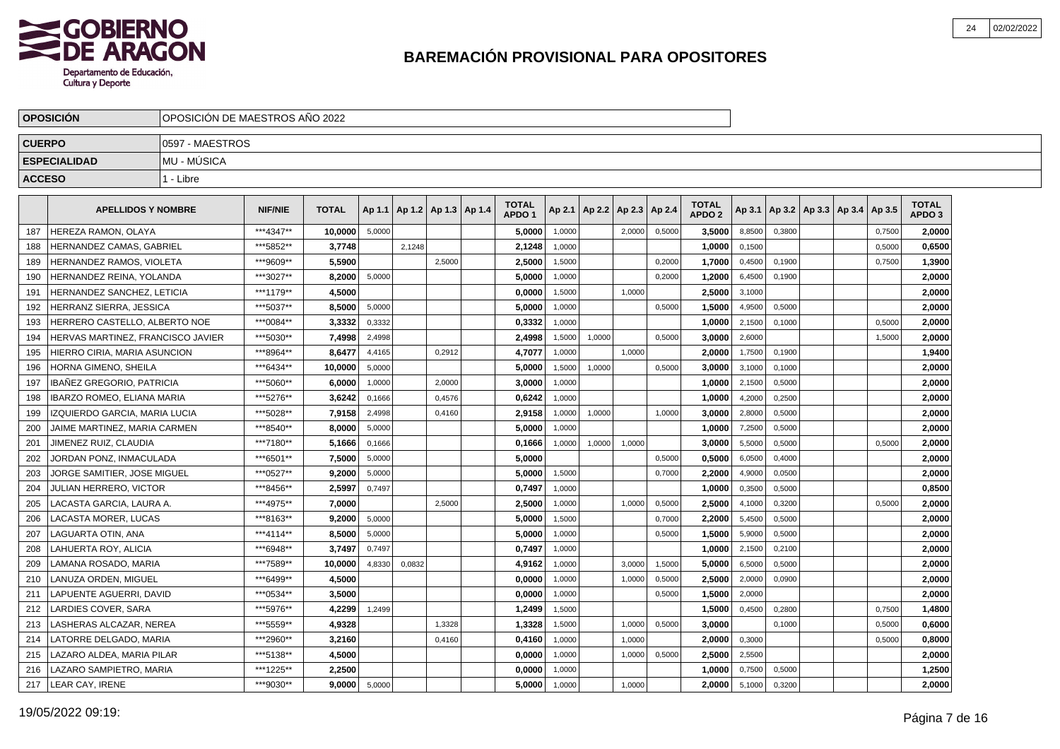

|               | <b>OPOSICIÓN</b>                  | OPOSICIÓN DE MAESTROS AÑO 2022 |                |              |        |        |                          |                                   |        |                          |        |        |                               |        |        |                                   |        |                                   |  |
|---------------|-----------------------------------|--------------------------------|----------------|--------------|--------|--------|--------------------------|-----------------------------------|--------|--------------------------|--------|--------|-------------------------------|--------|--------|-----------------------------------|--------|-----------------------------------|--|
| <b>CUERPO</b> |                                   | 0597 - MAESTROS                |                |              |        |        |                          |                                   |        |                          |        |        |                               |        |        |                                   |        |                                   |  |
|               | <b>ESPECIALIDAD</b>               | MU - MÚSICA                    |                |              |        |        |                          |                                   |        |                          |        |        |                               |        |        |                                   |        |                                   |  |
| <b>ACCESO</b> |                                   | 1 - Libre                      |                |              |        |        |                          |                                   |        |                          |        |        |                               |        |        |                                   |        |                                   |  |
|               | <b>APELLIDOS Y NOMBRE</b>         |                                | <b>NIF/NIE</b> | <b>TOTAL</b> | Ap 1.1 |        | Ap 1.2   Ap 1.3   Ap 1.4 | <b>TOTAL</b><br>APDO <sub>1</sub> | Ap 2.1 | Ap 2.2   Ap 2.3   Ap 2.4 |        |        | <b>TOTAL</b><br><b>APDO 2</b> | Ap 3.1 |        | Ap 3.2   Ap 3.3   Ap 3.4   Ap 3.5 |        | <b>TOTAL</b><br>APDO <sub>3</sub> |  |
| 187           | HEREZA RAMON, OLAYA               |                                | ***4347**      | 10,0000      | 5,0000 |        |                          | 5,0000                            | 1,0000 |                          | 2,0000 | 0,5000 | 3,5000                        | 8,8500 | 0,3800 |                                   | 0,7500 | 2,0000                            |  |
| 188           | HERNANDEZ CAMAS, GABRIEL          |                                | ***5852**      | 3,7748       |        | 2,1248 |                          | 2,1248                            | 1,0000 |                          |        |        | 1,0000                        | 0,1500 |        |                                   | 0,5000 | 0,6500                            |  |
| 189           | HERNANDEZ RAMOS, VIOLETA          |                                | ***9609**      | 5,5900       |        |        | 2,5000                   | 2,5000                            | 1,5000 |                          |        | 0,2000 | 1,7000                        | 0,4500 | 0,1900 |                                   | 0,7500 | 1,3900                            |  |
| 190           | HERNANDEZ REINA, YOLANDA          |                                | ***3027**      | 8,2000       | 5,0000 |        |                          | 5,0000                            | 1,0000 |                          |        | 0,2000 | 1,2000                        | 6,4500 | 0,1900 |                                   |        | 2,0000                            |  |
| 191           | HERNANDEZ SANCHEZ. LETICIA        |                                | ***1179**      | 4.5000       |        |        |                          | 0.0000                            | 1,5000 |                          | 1.0000 |        | 2.5000                        | 3,1000 |        |                                   |        | 2,0000                            |  |
| 192           | HERRANZ SIERRA. JESSICA           |                                | ***5037**      | 8,5000       | 5,0000 |        |                          | 5,0000                            | 1.0000 |                          |        | 0.5000 | 1.5000                        | 4,9500 | 0.5000 |                                   |        | 2,0000                            |  |
| 193           | HERRERO CASTELLO, ALBERTO NOE     |                                | ***0084**      | 3,3332       | 0,3332 |        |                          | 0,3332                            | 1.0000 |                          |        |        | 1,0000                        | 2,1500 | 0.1000 |                                   | 0.5000 | 2,0000                            |  |
| 194           | HERVAS MARTINEZ, FRANCISCO JAVIER |                                | ***5030**      | 7,4998       | 2,4998 |        |                          | 2,4998                            | 1,5000 | 1,0000                   |        | 0,5000 | 3,0000                        | 2,6000 |        |                                   | 1,5000 | 2,0000                            |  |
| 195           | HIERRO CIRIA, MARIA ASUNCION      |                                | ***8964**      | 8,6477       | 4,4165 |        | 0,2912                   | 4,7077                            | 1,0000 |                          | 1,0000 |        | 2.0000                        | 1,7500 | 0,1900 |                                   |        | 1,9400                            |  |
| 196           | HORNA GIMENO, SHEILA              |                                | ***6434**      | 10,0000      | 5,0000 |        |                          | 5,0000                            | 1,5000 | 1,0000                   |        | 0,5000 | 3,0000                        | 3,1000 | 0,1000 |                                   |        | 2,0000                            |  |
| 197           | IBAÑEZ GREGORIO, PATRICIA         |                                | ***5060**      | 6,0000       | 1,0000 |        | 2,0000                   | 3,0000                            | 1,0000 |                          |        |        | 1,0000                        | 2,1500 | 0,5000 |                                   |        | 2,0000                            |  |
| 198           | IBARZO ROMEO, ELIANA MARIA        |                                | ***5276**      | 3,6242       | 0,1666 |        | 0,4576                   | 0,6242                            | 1,0000 |                          |        |        | 1,0000                        | 4,2000 | 0,2500 |                                   |        | 2,0000                            |  |
| 199           | IZQUIERDO GARCIA. MARIA LUCIA     |                                | ***5028**      | 7,9158       | 2,4998 |        | 0,4160                   | 2,9158                            | 1,0000 | 1,0000                   |        | 1,0000 | 3.0000                        | 2,8000 | 0,5000 |                                   |        | 2,0000                            |  |
| 200           | JAIME MARTINEZ. MARIA CARMEN      |                                | ***8540**      | 8,0000       | 5,0000 |        |                          | 5,0000                            | 1.0000 |                          |        |        | 1,0000                        | 7,2500 | 0.5000 |                                   |        | 2,0000                            |  |
| 201           | JIMENEZ RUIZ, CLAUDIA             |                                | ***7180**      | 5,1666       | 0,1666 |        |                          | 0,1666                            | 1,0000 | 1,0000                   | 1,0000 |        | 3.0000                        | 5,5000 | 0,5000 |                                   | 0.5000 | 2,0000                            |  |
| 202           | JORDAN PONZ. INMACULADA           |                                | ***6501**      | 7.5000       | 5,0000 |        |                          | 5.0000                            |        |                          |        | 0,5000 | 0.5000                        | 6,0500 | 0,4000 |                                   |        | 2.0000                            |  |
| 203           | JORGE SAMITIER, JOSE MIGUEL       |                                | ***0527**      | 9,2000       | 5,0000 |        |                          | 5,0000                            | 1,5000 |                          |        | 0,7000 | 2,2000                        | 4,9000 | 0,0500 |                                   |        | 2,0000                            |  |
| 204           | JULIAN HERRERO, VICTOR            |                                | ***8456**      | 2,5997       | 0,7497 |        |                          | 0,7497                            | 1,0000 |                          |        |        | 1,0000                        | 0,3500 | 0,5000 |                                   |        | 0,8500                            |  |
| 205           | ACASTA GARCIA, LAURA A.           |                                | ***4975**      | 7,0000       |        |        | 2,5000                   | 2,5000                            | 1,0000 |                          | 1,0000 | 0,5000 | 2,5000                        | 4,1000 | 0,3200 |                                   | 0,5000 | 2,0000                            |  |
| 206           | <b>ACASTA MORER, LUCAS</b>        |                                | ***8163**      | 9,2000       | 5,0000 |        |                          | 5,0000                            | 1,5000 |                          |        | 0,7000 | 2,2000                        | 5,4500 | 0,5000 |                                   |        | 2,0000                            |  |
| 207           | LAGUARTA OTIN, ANA                |                                | ***4114**      | 8,5000       | 5,0000 |        |                          | 5,0000                            | 1.0000 |                          |        | 0,5000 | 1,5000                        | 5,9000 | 0,5000 |                                   |        | 2,0000                            |  |
| 208           | AHUERTA ROY, ALICIA               |                                | ***6948**      | 3,7497       | 0,7497 |        |                          | 0.7497                            | 1,0000 |                          |        |        | 1.0000                        | 2,1500 | 0,2100 |                                   |        | 2,0000                            |  |
| 209           | LAMANA ROSADO, MARIA              |                                | ***7589**      | 10,0000      | 4,8330 | 0,0832 |                          | 4,9162                            | 1,0000 |                          | 3.0000 | 1,5000 | 5.0000                        | 6,5000 | 0,5000 |                                   |        | 2.0000                            |  |
| 210           | LANUZA ORDEN, MIGUEL              |                                | ***6499**      | 4,5000       |        |        |                          | 0,0000                            | 1.0000 |                          | 1.0000 | 0,5000 | 2,5000                        | 2,0000 | 0,0900 |                                   |        | 2,0000                            |  |
| 211           | APUENTE AGUERRI. DAVID            |                                | ***0534**      | 3.5000       |        |        |                          | 0.0000                            | 1,0000 |                          |        | 0,5000 | 1.5000                        | 2,0000 |        |                                   |        | 2.0000                            |  |
| 212           | ARDIES COVER, SARA                |                                | ***5976**      | 4,2299       | 1,2499 |        |                          | 1,2499                            | 1,5000 |                          |        |        | 1,5000                        | 0,4500 | 0,2800 |                                   | 0,7500 | 1,4800                            |  |
| 213           | ASHERAS ALCAZAR, NEREA            |                                | ***5559**      | 4,9328       |        |        | 1,3328                   | 1,3328                            | 1,5000 |                          | 1,0000 | 0,5000 | 3,0000                        |        | 0,1000 |                                   | 0,5000 | 0,6000                            |  |
| 214           | LATORRE DELGADO, MARIA            |                                | ***2960**      | 3,2160       |        |        | 0,4160                   | 0,4160                            | 1,0000 |                          | 1,0000 |        | 2,0000                        | 0,3000 |        |                                   | 0,5000 | 0,8000                            |  |
| 215           | AZARO ALDEA, MARIA PILAR          |                                | ***5138**      | 4,5000       |        |        |                          | 0,0000                            | 1,0000 |                          | 1,0000 | 0,5000 | 2,5000                        | 2,5500 |        |                                   |        | 2,0000                            |  |
| 216           | LAZARO SAMPIETRO, MARIA           |                                | ***1225**      | 2,2500       |        |        |                          | 0,0000                            | 1,0000 |                          |        |        | 1,0000                        | 0,7500 | 0,5000 |                                   |        | 1,2500                            |  |
| 217           | LEAR CAY, IRENE                   |                                | ***9030**      | 9,0000       | 5,0000 |        |                          | 5,0000                            | 1,0000 |                          | 1,0000 |        | 2.0000                        | 5,1000 | 0,3200 |                                   |        | 2,0000                            |  |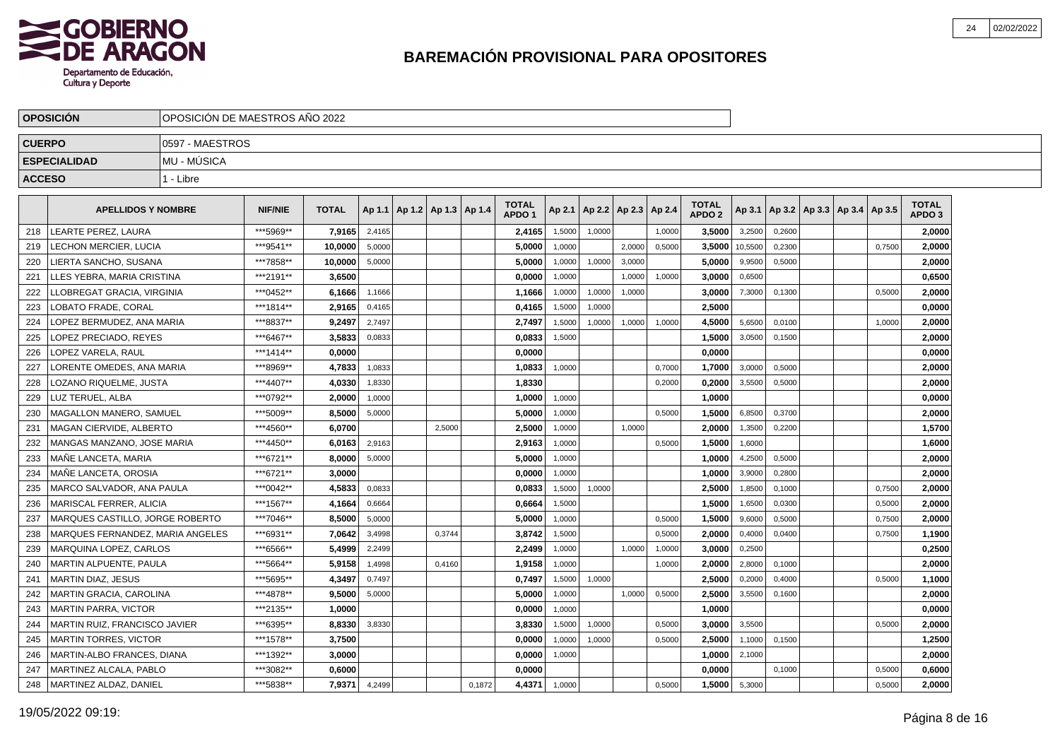

|               | <b>OPOSICIÓN</b>                 | OPOSICIÓN DE MAESTROS AÑO 2022 |                |              |        |                                   |        |        |                                   |        |        |                 |        |                                   |         |        |  |                                   |                                   |  |
|---------------|----------------------------------|--------------------------------|----------------|--------------|--------|-----------------------------------|--------|--------|-----------------------------------|--------|--------|-----------------|--------|-----------------------------------|---------|--------|--|-----------------------------------|-----------------------------------|--|
| <b>CUERPO</b> |                                  | 0597 - MAESTROS                |                |              |        |                                   |        |        |                                   |        |        |                 |        |                                   |         |        |  |                                   |                                   |  |
|               | <b>ESPECIALIDAD</b>              | <b>MU - MUSICA</b>             |                |              |        |                                   |        |        |                                   |        |        |                 |        |                                   |         |        |  |                                   |                                   |  |
| <b>ACCESO</b> |                                  | 1 - Libre                      |                |              |        |                                   |        |        |                                   |        |        |                 |        |                                   |         |        |  |                                   |                                   |  |
|               | <b>APELLIDOS Y NOMBRE</b>        |                                | <b>NIF/NIE</b> | <b>TOTAL</b> |        | Ap 1.1   Ap 1.2   Ap 1.3   Ap 1.4 |        |        | <b>TOTAL</b><br>APDO <sub>1</sub> | Ap 2.1 |        | Ap 2.2   Ap 2.3 | Ap 2.4 | <b>TOTAL</b><br>APDO <sub>2</sub> | Ap 3.1  |        |  | Ap 3.2   Ap 3.3   Ap 3.4   Ap 3.5 | <b>TOTAL</b><br>APDO <sub>3</sub> |  |
| 218           | LEARTE PEREZ, LAURA              |                                | ***5969**      | 7,9165       | 2,4165 |                                   |        |        | 2,4165                            | 1,5000 | 1,0000 |                 | 1,0000 | 3,5000                            | 3,2500  | 0,2600 |  |                                   | 2,0000                            |  |
| 219           | <b>ECHON MERCIER, LUCIA</b>      |                                | ***9541**      | 10,0000      | 5,0000 |                                   |        |        | 5.0000                            | 1,0000 |        | 2,0000          | 0,5000 | 3,5000                            | 10,5500 | 0,2300 |  | 0.7500                            | 2,0000                            |  |
| 220           | LIERTA SANCHO, SUSANA            |                                | ***7858**      | 10,0000      | 5,0000 |                                   |        |        | 5,0000                            | 1,0000 | 1,0000 | 3.0000          |        | 5.0000                            | 9,9500  | 0,5000 |  |                                   | 2,0000                            |  |
| 221           | LLES YEBRA. MARIA CRISTINA       |                                | ***2191**      | 3,6500       |        |                                   |        |        | 0,0000                            | 1.0000 |        | 1.0000          | 1,0000 | 3,0000                            | 0,6500  |        |  |                                   | 0,6500                            |  |
| 222           | LLOBREGAT GRACIA, VIRGINIA       |                                | ***0452**      | 6,1666       | 1,1666 |                                   |        |        | 1,1666                            | 1,0000 | 1,0000 | 1,0000          |        | 3.0000                            | 7,3000  | 0,1300 |  | 0.5000                            | 2,0000                            |  |
| 223           | OBATO FRADE. CORAL               |                                | ***1814**      | 2.9165       | 0,4165 |                                   |        |        | 0.4165                            | 1,5000 | 1,0000 |                 |        | 2.5000                            |         |        |  |                                   | 0,0000                            |  |
| 224           | OPEZ BERMUDEZ. ANA MARIA         |                                | ***8837**      | 9.2497       | 2.7497 |                                   |        |        | 2,7497                            | 1,5000 | 1,0000 | 1.0000          | 1,0000 | 4.5000                            | 5,6500  | 0.0100 |  | 1,0000                            | 2,0000                            |  |
| 225           | OPEZ PRECIADO. REYES             |                                | ***6467**      | 3,5833       | 0,0833 |                                   |        |        | 0.0833                            | 1.5000 |        |                 |        | 1.5000                            | 3,0500  | 0.1500 |  |                                   | 2,0000                            |  |
| 226           | OPEZ VARELA, RAUL                |                                | ***1414**      | 0,0000       |        |                                   |        |        | 0,0000                            |        |        |                 |        | 0,0000                            |         |        |  |                                   | 0,0000                            |  |
| 227           | ORENTE OMEDES, ANA MARIA         |                                | ***8969**      | 4,7833       | 1,0833 |                                   |        |        | 1,0833                            | 1,0000 |        |                 | 0,7000 | 1,7000                            | 3,0000  | 0,5000 |  |                                   | 2,0000                            |  |
| 228           | OZANO RIQUELME, JUSTA.           |                                | ***4407**      | 4,0330       | 1,8330 |                                   |        |        | 1,8330                            |        |        |                 | 0,2000 | 0,2000                            | 3,5500  | 0,5000 |  |                                   | 2,0000                            |  |
| 229           | LUZ TERUEL, ALBA                 |                                | ***0792**      | 2,0000       | 1,0000 |                                   |        |        | 1,0000                            | 1,0000 |        |                 |        | 1,0000                            |         |        |  |                                   | 0,0000                            |  |
| 230           | MAGALLON MANERO, SAMUEL          |                                | ***5009**      | 8,5000       | 5,0000 |                                   |        |        | 5,0000                            | 1,0000 |        |                 | 0,5000 | 1,5000                            | 6,8500  | 0,3700 |  |                                   | 2,0000                            |  |
| 231           | MAGAN CIERVIDE, ALBERTO          |                                | ***4560**      | 6,0700       |        |                                   | 2,5000 |        | 2,5000                            | 1,0000 |        | 1,0000          |        | 2,0000                            | 1,3500  | 0,2200 |  |                                   | 1,5700                            |  |
| 232           | MANGAS MANZANO, JOSE MARIA       |                                | ***4450**      | 6,0163       | 2,9163 |                                   |        |        | 2,9163                            | 1,0000 |        |                 | 0,5000 | 1,5000                            | 1,6000  |        |  |                                   | 1,6000                            |  |
| 233           | MAÑE LANCETA. MARIA              |                                | ***6721**      | 8,0000       | 5,0000 |                                   |        |        | 5,0000                            | 1,0000 |        |                 |        | 1,0000                            | 4,2500  | 0,5000 |  |                                   | 2,0000                            |  |
| 234           | MAÑE LANCETA, OROSIA             |                                | ***6721**      | 3,0000       |        |                                   |        |        | 0,0000                            | 1,0000 |        |                 |        | 1,0000                            | 3,9000  | 0,2800 |  |                                   | 2,0000                            |  |
| 235           | MARCO SALVADOR, ANA PAULA        |                                | ***0042**      | 4,5833       | 0,0833 |                                   |        |        | 0,0833                            | 1,5000 | 1,0000 |                 |        | 2,5000                            | 1,8500  | 0,1000 |  | 0,7500                            | 2,0000                            |  |
| 236           | <b>MARISCAL FERRER, ALICIA</b>   |                                | ***1567**      | 4,1664       | 0,6664 |                                   |        |        | 0,6664                            | 1,5000 |        |                 |        | 1,5000                            | 1,6500  | 0,0300 |  | 0,5000                            | 2,0000                            |  |
| 237           | MARQUES CASTILLO, JORGE ROBERTO  |                                | ***7046**      | 8,5000       | 5,0000 |                                   |        |        | 5,0000                            | 1,0000 |        |                 | 0,5000 | 1,5000                            | 9,6000  | 0,5000 |  | 0,7500                            | 2,0000                            |  |
| 238           | MARQUES FERNANDEZ, MARIA ANGELES |                                | ***6931**      | 7,0642       | 3,4998 |                                   | 0,3744 |        | 3,8742                            | 1,5000 |        |                 | 0,5000 | 2,0000                            | 0,4000  | 0,0400 |  | 0,7500                            | 1,1900                            |  |
| 239           | MARQUINA LOPEZ, CARLOS           |                                | ***6566**      | 5,4999       | 2,2499 |                                   |        |        | 2,2499                            | 1,0000 |        | 1,0000          | 1,0000 | 3.0000                            | 0,2500  |        |  |                                   | 0,2500                            |  |
| 240           | MARTIN ALPUENTE. PAULA           |                                | ***5664**      | 5,9158       | 1,4998 |                                   | 0,4160 |        | 1,9158                            | 1,0000 |        |                 | 1,0000 | 2,0000                            | 2,8000  | 0,1000 |  |                                   | 2,0000                            |  |
| 241           | MARTIN DIAZ, JESUS               |                                | ***5695**      | 4,3497       | 0,7497 |                                   |        |        | 0,7497                            | 1,5000 | 1,0000 |                 |        | 2.5000                            | 0,2000  | 0,4000 |  | 0,5000                            | 1,1000                            |  |
| 242           | MARTIN GRACIA, CAROLINA          |                                | ***4878**      | 9,5000       | 5,0000 |                                   |        |        | 5,0000                            | 1,0000 |        | 1,0000          | 0,5000 | 2,5000                            | 3,5500  | 0,1600 |  |                                   | 2,0000                            |  |
| 243           | MARTIN PARRA, VICTOR             |                                | ***2135**      | 1.0000       |        |                                   |        |        | 0,0000                            | 1,0000 |        |                 |        | 1.0000                            |         |        |  |                                   | 0,0000                            |  |
| 244           | MARTIN RUIZ, FRANCISCO JAVIER    |                                | ***6395**      | 8,8330       | 3,8330 |                                   |        |        | 3,8330                            | 1,5000 | 1,0000 |                 | 0,5000 | 3,0000                            | 3,5500  |        |  | 0,5000                            | 2,0000                            |  |
| 245           | MARTIN TORRES, VICTOR            |                                | ***1578**      | 3,7500       |        |                                   |        |        | 0.0000                            | 1,0000 | 1,0000 |                 | 0,5000 | 2,5000                            | 1,1000  | 0,1500 |  |                                   | 1,2500                            |  |
| 246           | MARTIN-ALBO FRANCES, DIANA       |                                | ***1392**      | 3.0000       |        |                                   |        |        | 0,0000                            | 1,0000 |        |                 |        | 1,0000                            | 2,1000  |        |  |                                   | 2,0000                            |  |
| 247           | MARTINEZ ALCALA, PABLO           |                                | ***3082**      | 0.6000       |        |                                   |        |        | 0,0000                            |        |        |                 |        | 0.0000                            |         | 0,1000 |  | 0,5000                            | 0,6000                            |  |
| 248           | MARTINEZ ALDAZ, DANIEL           |                                | ***5838**      | 7,9371       | 4,2499 |                                   |        | 0.1872 | 4,4371                            | 1,0000 |        |                 | 0.5000 | 1,5000                            | 5,3000  |        |  | 0.5000                            | 2,0000                            |  |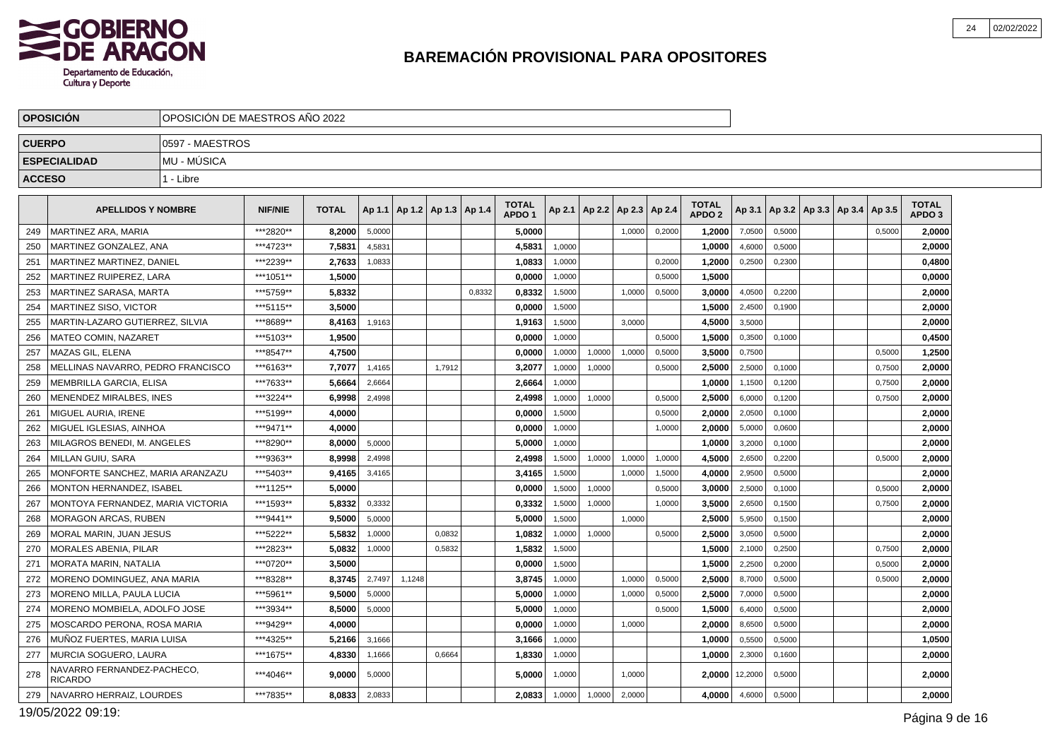

|               | <b>OPOSICIÓN</b>                             | OPOSICIÓN DE MAESTROS AÑO 2022 |                |              |        |        |                          |        |                                   |        |                |        |        |                                   |         |        |                                   |        |                                   |  |
|---------------|----------------------------------------------|--------------------------------|----------------|--------------|--------|--------|--------------------------|--------|-----------------------------------|--------|----------------|--------|--------|-----------------------------------|---------|--------|-----------------------------------|--------|-----------------------------------|--|
| <b>CUERPO</b> |                                              | 0597 - MAESTROS                |                |              |        |        |                          |        |                                   |        |                |        |        |                                   |         |        |                                   |        |                                   |  |
|               | <b>ESPECIALIDAD</b>                          | MU - MÚSICA                    |                |              |        |        |                          |        |                                   |        |                |        |        |                                   |         |        |                                   |        |                                   |  |
| <b>ACCESO</b> |                                              | 1 - Libre                      |                |              |        |        |                          |        |                                   |        |                |        |        |                                   |         |        |                                   |        |                                   |  |
|               |                                              |                                |                |              |        |        |                          |        |                                   |        |                |        |        |                                   |         |        |                                   |        |                                   |  |
|               | <b>APELLIDOS Y NOMBRE</b>                    |                                | <b>NIF/NIE</b> | <b>TOTAL</b> | Ap 1.1 |        | Ap 1.2   Ap 1.3   Ap 1.4 |        | <b>TOTAL</b><br>APDO <sub>1</sub> | Ap 2.1 | $AD2.2$ Ap 2.3 |        | Ap 2.4 | <b>TOTAL</b><br>APDO <sub>2</sub> | Ap 3.1  |        | Ap 3.2   Ap 3.3   Ap 3.4   Ap 3.5 |        | <b>TOTAL</b><br>APDO <sub>3</sub> |  |
| 249           | MARTINEZ ARA, MARIA                          |                                | ***2820**      | 8,2000       | 5,0000 |        |                          |        | 5,0000                            |        |                | 1,0000 | 0,2000 | 1,2000                            | 7,0500  | 0,5000 |                                   | 0,5000 | 2,0000                            |  |
| 250           | MARTINEZ GONZALEZ. ANA                       |                                | ***4723**      | 7.5831       | 4,5831 |        |                          |        | 4.5831                            | 1,0000 |                |        |        | 1.0000                            | 4,6000  | 0,5000 |                                   |        | 2,0000                            |  |
| 251           | MARTINEZ MARTINEZ. DANIEL                    |                                | ***2239**      | 2,7633       | 1,0833 |        |                          |        | 1,0833                            | 1.0000 |                |        | 0,2000 | 1,2000                            | 0,2500  | 0,2300 |                                   |        | 0,4800                            |  |
| 252           | MARTINEZ RUIPEREZ, LARA                      |                                | ***1051**      | 1,5000       |        |        |                          |        | 0,0000                            | 1,0000 |                |        | 0,5000 | 1,5000                            |         |        |                                   |        | 0,0000                            |  |
| 253           | MARTINEZ SARASA. MARTA                       |                                | ***5759**      | 5.8332       |        |        |                          | 0,8332 | 0,8332                            | 1,5000 |                | 1.0000 | 0,5000 | 3.0000                            | 4,0500  | 0,2200 |                                   |        | 2,0000                            |  |
| 254           | MARTINEZ SISO, VICTOR                        |                                | ***5115**      | 3.5000       |        |        |                          |        | 0,0000                            | 1,5000 |                |        |        | 1,5000                            | 2,4500  | 0,1900 |                                   |        | 2,0000                            |  |
| 255           | MARTIN-LAZARO GUTIERREZ, SILVIA              |                                | ***8689**      | 8,4163       | 1,9163 |        |                          |        | 1,9163                            | 1,5000 |                | 3,0000 |        | 4,5000                            | 3,5000  |        |                                   |        | 2,0000                            |  |
| 256           | <b>MATEO COMIN. NAZARET</b>                  |                                | ***5103**      | 1.9500       |        |        |                          |        | 0.0000                            | 1.0000 |                |        | 0.5000 | 1.5000                            | 0,3500  | 0.1000 |                                   |        | 0,4500                            |  |
| 257           | MAZAS GIL, ELENA                             |                                | ***8547**      | 4,7500       |        |        |                          |        | 0,0000                            | 1,0000 | 1,0000         | 1,0000 | 0,5000 | 3,5000                            | 0,7500  |        |                                   | 0,5000 | 1,2500                            |  |
| 258           | MELLINAS NAVARRO, PEDRO FRANCISCO            |                                | ***6163**      | 7,7077       | 1,4165 |        | 1,7912                   |        | 3,2077                            | 1,0000 | 1,0000         |        | 0,5000 | 2,5000                            | 2,5000  | 0,1000 |                                   | 0,7500 | 2,0000                            |  |
| 259           | MEMBRILLA GARCIA. ELISA                      |                                | ***7633**      | 5.6664       | 2,6664 |        |                          |        | 2,6664                            | 1,0000 |                |        |        | 1.0000                            | 1,1500  | 0,1200 |                                   | 0,7500 | 2,0000                            |  |
| 260           | MENENDEZ MIRALBES, INES                      |                                | ***3224**      | 6,9998       | 2,4998 |        |                          |        | 2,4998                            | 1,0000 | 1,0000         |        | 0,5000 | 2,5000                            | 6,0000  | 0,1200 |                                   | 0,7500 | 2,0000                            |  |
| 261           | MIGUEL AURIA, IRENE                          |                                | ***5199**      | 4,0000       |        |        |                          |        | 0,0000                            | 1,5000 |                |        | 0,5000 | 2,0000                            | 2,0500  | 0,1000 |                                   |        | 2,0000                            |  |
| 262           | MIGUEL IGLESIAS, AINHOA                      |                                | ***9471**      | 4.0000       |        |        |                          |        | 0.0000                            | 1,0000 |                |        | 1,0000 | 2.0000                            | 5,0000  | 0,0600 |                                   |        | 2.0000                            |  |
| 263           | MILAGROS BENEDI. M. ANGELES                  |                                | ***8290**      | 8.0000       | 5,0000 |        |                          |        | 5,0000                            | 1,0000 |                |        |        | 1,0000                            | 3,2000  | 0,1000 |                                   |        | 2,0000                            |  |
| 264           | MILLAN GUIU, SARA                            |                                | ***9363**      | 8,9998       | 2,4998 |        |                          |        | 2,4998                            | 1,5000 | 1,0000         | 1,0000 | 1,0000 | 4,5000                            | 2,6500  | 0,2200 |                                   | 0,5000 | 2,0000                            |  |
| 265           | MONFORTE SANCHEZ. MARIA ARANZAZU             |                                | ***5403**      | 9.4165       | 3,4165 |        |                          |        | 3,4165                            | 1,5000 |                | 1,0000 | 1,5000 | 4.0000                            | 2,9500  | 0,5000 |                                   |        | 2,0000                            |  |
| 266           | MONTON HERNANDEZ, ISABEL                     |                                | ***1125**      | 5,0000       |        |        |                          |        | 0.0000                            | 1,5000 | 1,0000         |        | 0,5000 | 3,0000                            | 2,5000  | 0,1000 |                                   | 0,5000 | 2,0000                            |  |
| 267           | MONTOYA FERNANDEZ, MARIA VICTORIA            |                                | ***1593**      | 5,8332       | 0,3332 |        |                          |        | 0,3332                            | 1,5000 | 1,0000         |        | 1,0000 | 3,5000                            | 2,6500  | 0,1500 |                                   | 0,7500 | 2,0000                            |  |
| 268           | MORAGON ARCAS. RUBEN                         |                                | ***9441**      | 9.5000       | 5,0000 |        |                          |        | 5.0000                            | 1,5000 |                | 1.0000 |        | 2.5000                            | 5,9500  | 0,1500 |                                   |        | 2,0000                            |  |
| 269           | MORAL MARIN, JUAN JESUS                      |                                | ***5222**      | 5.5832       | 1,0000 |        | 0,0832                   |        | 1,0832                            | 1,0000 | 1,0000         |        | 0,5000 | 2,5000                            | 3,0500  | 0,5000 |                                   |        | 2,0000                            |  |
| 270           | MORALES ABENIA. PILAR                        |                                | ***2823**      | 5,0832       | 1,0000 |        | 0,5832                   |        | 1,5832                            | 1,5000 |                |        |        | 1,5000                            | 2,1000  | 0,2500 |                                   | 0,7500 | 2,0000                            |  |
| 271           | MORATA MARIN. NATALIA                        |                                | ***0720**      | 3.5000       |        |        |                          |        | 0.0000                            | 1,5000 |                |        |        | 1.5000                            | 2,2500  | 0,2000 |                                   | 0,5000 | 2.0000                            |  |
| 272           | MORENO DOMINGUEZ, ANA MARIA                  |                                | ***8328**      | 8,3745       | 2,7497 | 1,1248 |                          |        | 3,8745                            | 1,0000 |                | 1.0000 | 0,5000 | 2,5000                            | 8,7000  | 0,5000 |                                   | 0,5000 | 2,0000                            |  |
| 273           | MORENO MILLA, PAULA LUCIA                    |                                | ***5961**      | 9.5000       | 5,0000 |        |                          |        | 5,0000                            | 1,0000 |                | 1,0000 | 0,5000 | 2,5000                            | 7,0000  | 0,5000 |                                   |        | 2,0000                            |  |
| 274           | MORENO MOMBIELA. ADOLFO JOSE                 |                                | ***3934**      | 8.5000       | 5,0000 |        |                          |        | 5.0000                            | 1,0000 |                |        | 0,5000 | 1.5000                            | 6,4000  | 0,5000 |                                   |        | 2,0000                            |  |
| 275           | MOSCARDO PERONA. ROSA MARIA                  |                                | ***9429**      | 4,0000       |        |        |                          |        | 0,0000                            | 1,0000 |                | 1,0000 |        | 2,0000                            | 8,6500  | 0,5000 |                                   |        | 2,0000                            |  |
| 276           | MUÑOZ FUERTES, MARIA LUISA                   |                                | ***4325**      | 5,2166       | 3,1666 |        |                          |        | 3,1666                            | 1,0000 |                |        |        | 1,0000                            | 0,5500  | 0,5000 |                                   |        | 1,0500                            |  |
| 277           | MURCIA SOGUERO, LAURA                        |                                | ***1675**      | 4,8330       | 1,1666 |        | 0,6664                   |        | 1,8330                            | 1,0000 |                |        |        | 1.0000                            | 2,3000  | 0,1600 |                                   |        | 2,0000                            |  |
| 278           | NAVARRO FERNANDEZ-PACHECO.<br><b>RICARDO</b> |                                | ***4046**      | 9,0000       | 5,0000 |        |                          |        | 5,0000                            | 1,0000 |                | 1,0000 |        | 2,0000                            | 12,2000 | 0,5000 |                                   |        | 2,0000                            |  |
| 279           | NAVARRO HERRAIZ, LOURDES                     |                                | ***7835**      | 8,0833       | 2,0833 |        |                          |        | 2,0833                            | 1,0000 | 1,0000         | 2,0000 |        | 4,0000                            | 4,6000  | 0,5000 |                                   |        | 2,0000                            |  |

19/05/2022 09:19: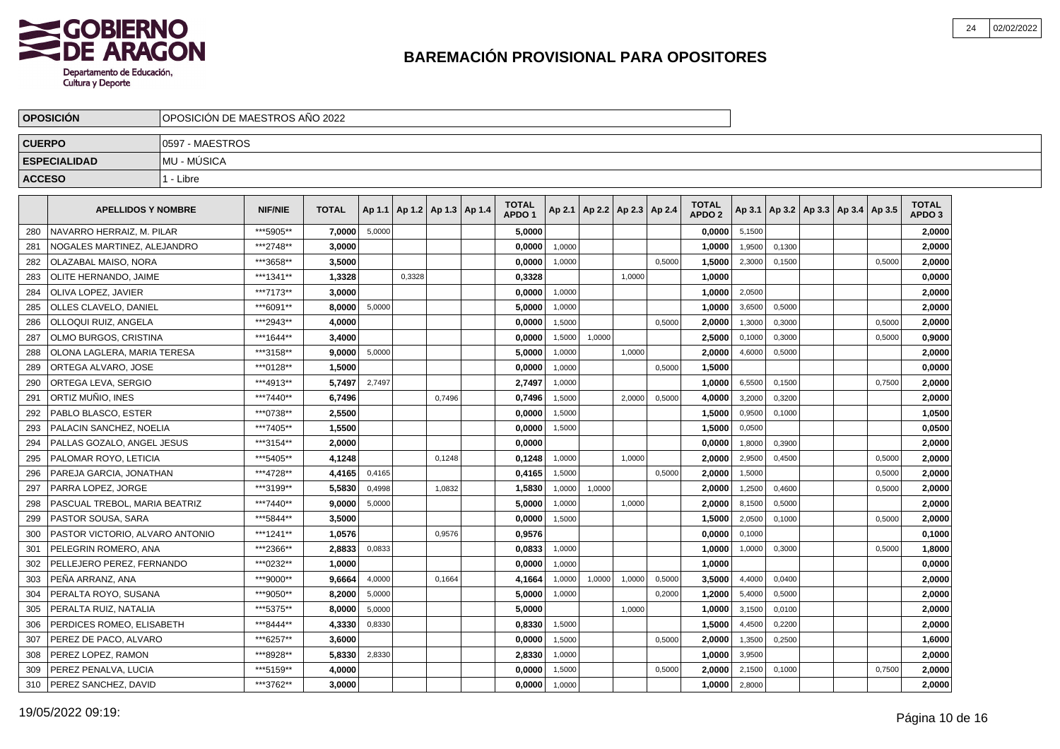

|               | <b>OPOSICIÓN</b>                |                 | OPOSICIÓN DE MAESTROS AÑO 2022 |              |        |                                   |        |  |                                   |        |                          |        |        |                                   |        |        |                                   |        |                                   |
|---------------|---------------------------------|-----------------|--------------------------------|--------------|--------|-----------------------------------|--------|--|-----------------------------------|--------|--------------------------|--------|--------|-----------------------------------|--------|--------|-----------------------------------|--------|-----------------------------------|
| <b>CUERPO</b> |                                 | 0597 - MAESTROS |                                |              |        |                                   |        |  |                                   |        |                          |        |        |                                   |        |        |                                   |        |                                   |
|               | <b>ESPECIALIDAD</b>             | MU - MÚSICA     |                                |              |        |                                   |        |  |                                   |        |                          |        |        |                                   |        |        |                                   |        |                                   |
| <b>ACCESO</b> |                                 | 1 - Libre       |                                |              |        |                                   |        |  |                                   |        |                          |        |        |                                   |        |        |                                   |        |                                   |
|               | <b>APELLIDOS Y NOMBRE</b>       |                 | <b>NIF/NIE</b>                 | <b>TOTAL</b> |        | Ap 1.1   Ap 1.2   Ap 1.3   Ap 1.4 |        |  | <b>TOTAL</b><br>APDO <sub>1</sub> | Ap 2.1 | Ap 2.2   Ap 2.3   Ap 2.4 |        |        | <b>TOTAL</b><br>APDO <sub>2</sub> | Ap 3.1 |        | Ap 3.2   Ap 3.3   Ap 3.4   Ap 3.5 |        | <b>TOTAL</b><br>APDO <sub>3</sub> |
| 280           | NAVARRO HERRAIZ, M. PILAR       |                 | ***5905**                      | 7,0000       | 5,0000 |                                   |        |  | 5,0000                            |        |                          |        |        | 0,0000                            | 5,1500 |        |                                   |        | 2,0000                            |
| 281           | NOGALES MARTINEZ, ALEJANDRO     |                 | ***2748**                      | 3,0000       |        |                                   |        |  | 0,0000                            | 1,0000 |                          |        |        | 1,0000                            | 1,9500 | 0,1300 |                                   |        | 2,0000                            |
| 282           | OLAZABAL MAISO, NORA            |                 | ***3658**                      | 3,5000       |        |                                   |        |  | 0,0000                            | 1,0000 |                          |        | 0,5000 | 1,5000                            | 2,3000 | 0,1500 |                                   | 0,5000 | 2,0000                            |
| 283           | OLITE HERNANDO, JAIME           |                 | ***1341**                      | 1,3328       |        | 0.3328                            |        |  | 0,3328                            |        |                          | 1.0000 |        | 1,0000                            |        |        |                                   |        | 0,0000                            |
| 284           | OLIVA LOPEZ. JAVIER             |                 | ***7173**                      | 3.0000       |        |                                   |        |  | 0,0000                            | 1,0000 |                          |        |        | 1,0000                            | 2,0500 |        |                                   |        | 2,0000                            |
| 285           | OLLES CLAVELO. DANIEL           |                 | ***6091**                      | 8.0000       | 5,0000 |                                   |        |  | 5.0000                            | 1,0000 |                          |        |        | 1.0000                            | 3,6500 | 0.5000 |                                   |        | 2.0000                            |
| 286           | OLLOQUI RUIZ, ANGELA            |                 | ***2943**                      | 4,0000       |        |                                   |        |  | 0,0000                            | 1,5000 |                          |        | 0,5000 | 2,0000                            | 1,3000 | 0,3000 |                                   | 0,5000 | 2,0000                            |
| 287           | OLMO BURGOS, CRISTINA           |                 | ***1644**                      | 3,4000       |        |                                   |        |  | 0,0000                            | 1,5000 | 1,0000                   |        |        | 2,5000                            | 0,1000 | 0,3000 |                                   | 0,5000 | 0,9000                            |
| 288           | OLONA LAGLERA, MARIA TERESA     |                 | ***3158**                      | 9,0000       | 5,0000 |                                   |        |  | 5,0000                            | 1,0000 |                          | 1,0000 |        | 2,0000                            | 4,6000 | 0,5000 |                                   |        | 2,0000                            |
| 289           | ORTEGA ALVARO, JOSE             |                 | ***0128**                      | 1,5000       |        |                                   |        |  | 0,0000                            | 1,0000 |                          |        | 0,5000 | 1,5000                            |        |        |                                   |        | 0.0000                            |
| 290           | ORTEGA LEVA. SERGIO             |                 | ***4913**                      | 5.7497       | 2,7497 |                                   |        |  | 2,7497                            | 1.0000 |                          |        |        | 1.0000                            | 6,5500 | 0.1500 |                                   | 0,7500 | 2,0000                            |
| 291           | ORTIZ MUÑIO, INES               |                 | ***7440**                      | 6,7496       |        |                                   | 0,7496 |  | 0,7496                            | 1,5000 |                          | 2,0000 | 0,5000 | 4,0000                            | 3,2000 | 0,3200 |                                   |        | 2,0000                            |
| 292           | PABLO BLASCO, ESTER             |                 | ***0738**                      | 2,5500       |        |                                   |        |  | 0,0000                            | 1,5000 |                          |        |        | 1,5000                            | 0,9500 | 0,1000 |                                   |        | 1,0500                            |
| 293           | PALACIN SANCHEZ, NOELIA         |                 | ***7405**                      | 1,5500       |        |                                   |        |  | 0,0000                            | 1,5000 |                          |        |        | 1,5000                            | 0,0500 |        |                                   |        | 0,0500                            |
| 294           | PALLAS GOZALO, ANGEL JESUS      |                 | ***3154**                      | 2.0000       |        |                                   |        |  | 0.0000                            |        |                          |        |        | 0,0000                            | 1,8000 | 0,3900 |                                   |        | 2,0000                            |
| 295           | PALOMAR ROYO, LETICIA           |                 | ***5405**                      | 4,1248       |        |                                   | 0,1248 |  | 0,1248                            | 1,0000 |                          | 1.0000 |        | 2.0000                            | 2,9500 | 0,4500 |                                   | 0,5000 | 2,0000                            |
| 296           | PAREJA GARCIA, JONATHAN         |                 | ***4728**                      | 4,4165       | 0,4165 |                                   |        |  | 0,4165                            | 1.5000 |                          |        | 0.5000 | 2.0000                            | 1,5000 |        |                                   | 0,5000 | 2,0000                            |
| 297           | PARRA LOPEZ, JORGE              |                 | ***3199**                      | 5,5830       | 0,4998 |                                   | 1,0832 |  | 1,5830                            | 1,0000 | 1,0000                   |        |        | 2,0000                            | 1,2500 | 0,4600 |                                   | 0,5000 | 2,0000                            |
| 298           | PASCUAL TREBOL, MARIA BEATRIZ   |                 | ***7440**                      | 9,0000       | 5,0000 |                                   |        |  | 5,0000                            | 1,0000 |                          | 1,0000 |        | 2,0000                            | 8,1500 | 0,5000 |                                   |        | 2,0000                            |
| 299           | PASTOR SOUSA, SARA              |                 | ***5844**                      | 3,5000       |        |                                   |        |  | 0,0000                            | 1,5000 |                          |        |        | 1,5000                            | 2,0500 | 0,1000 |                                   | 0,5000 | 2,0000                            |
| 300           | PASTOR VICTORIO. ALVARO ANTONIO |                 | ***1241**                      | 1.0576       |        |                                   | 0,9576 |  | 0,9576                            |        |                          |        |        | 0.0000                            | 0,1000 |        |                                   |        | 0,1000                            |
| 301           | PELEGRIN ROMERO. ANA            |                 | ***2366**                      | 2.8833       | 0,0833 |                                   |        |  | 0.0833                            | 1,0000 |                          |        |        | 1.0000                            | 1,0000 | 0,3000 |                                   | 0,5000 | 1,8000                            |
| 302           | PELLEJERO PEREZ, FERNANDO       |                 | ***0232**                      | 1,0000       |        |                                   |        |  | 0,0000                            | 1,0000 |                          |        |        | 1,0000                            |        |        |                                   |        | 0,0000                            |
| 303           | PEÑA ARRANZ, ANA                |                 | ***9000**                      | 9,6664       | 4,0000 |                                   | 0,1664 |  | 4,1664                            | 1,0000 | 1,0000                   | 1,0000 | 0,5000 | 3,5000                            | 4,4000 | 0,0400 |                                   |        | 2,0000                            |
| 304           | PERALTA ROYO, SUSANA            |                 | ***9050**                      | 8.2000       | 5,0000 |                                   |        |  | 5,0000                            | 1,0000 |                          |        | 0,2000 | 1,2000                            | 5,4000 | 0,5000 |                                   |        | 2,0000                            |
| 305           | PERALTA RUIZ, NATALIA           |                 | ***5375**                      | 8.0000       | 5,0000 |                                   |        |  | 5.0000                            |        |                          | 1,0000 |        | 1,0000                            | 3,1500 | 0,0100 |                                   |        | 2,0000                            |
| 306           | PERDICES ROMEO, ELISABETH       |                 | ***8444**                      | 4,3330       | 0,8330 |                                   |        |  | 0,8330                            | 1.5000 |                          |        |        | 1,5000                            | 4,4500 | 0.2200 |                                   |        | 2,0000                            |
| 307           | PEREZ DE PACO. ALVARO           |                 | ***6257**                      | 3,6000       |        |                                   |        |  | 0.0000                            | 1.5000 |                          |        | 0,5000 | 2.0000                            | 1,3500 | 0.2500 |                                   |        | 1,6000                            |
| 308           | PEREZ LOPEZ, RAMON              |                 | ***8928**                      | 5,8330       | 2,8330 |                                   |        |  | 2,8330                            | 1,0000 |                          |        |        | 1,0000                            | 3,9500 |        |                                   |        | 2,0000                            |
| 309           | PEREZ PENALVA, LUCIA            |                 | ***5159**                      | 4,0000       |        |                                   |        |  | 0,0000                            | 1,5000 |                          |        | 0,5000 | 2,0000                            | 2,1500 | 0,1000 |                                   | 0,7500 | 2,0000                            |
| 310           | PEREZ SANCHEZ, DAVID            |                 | ***3762**                      | 3.0000       |        |                                   |        |  | 0,0000                            | 1,0000 |                          |        |        | 1,0000                            | 2,8000 |        |                                   |        | 2,0000                            |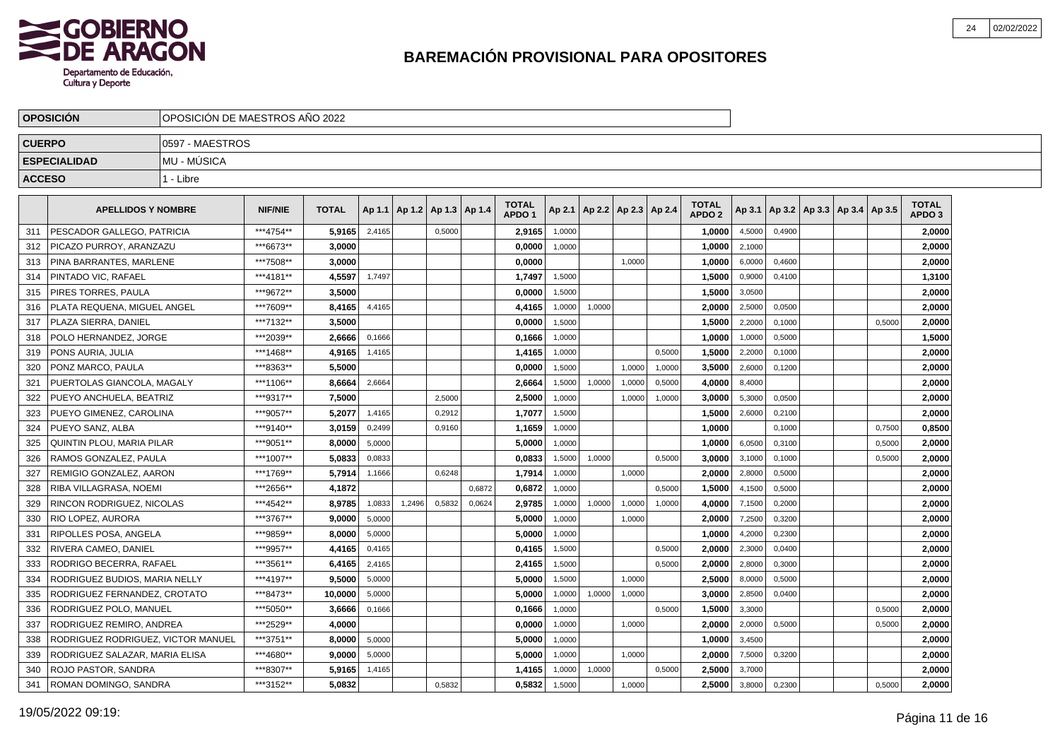

|               | <b>OPOSICIÓN</b>                   |                    | OPOSICIÓN DE MAESTROS AÑO 2022 |              |        |        |                          |        |                                   |        |        |                          |        |                                   |        |        |                                       |        |                                   |  |
|---------------|------------------------------------|--------------------|--------------------------------|--------------|--------|--------|--------------------------|--------|-----------------------------------|--------|--------|--------------------------|--------|-----------------------------------|--------|--------|---------------------------------------|--------|-----------------------------------|--|
| <b>CUERPO</b> |                                    | 0597 - MAESTROS    |                                |              |        |        |                          |        |                                   |        |        |                          |        |                                   |        |        |                                       |        |                                   |  |
|               | <b>ESPECIALIDAD</b>                | <b>MU - MUSICA</b> |                                |              |        |        |                          |        |                                   |        |        |                          |        |                                   |        |        |                                       |        |                                   |  |
| <b>ACCESO</b> |                                    | 1 - Libre          |                                |              |        |        |                          |        |                                   |        |        |                          |        |                                   |        |        |                                       |        |                                   |  |
|               | <b>APELLIDOS Y NOMBRE</b>          |                    | <b>NIF/NIE</b>                 | <b>TOTAL</b> | Ap 1.1 |        | Ap 1.2   Ap 1.3   Ap 1.4 |        | <b>TOTAL</b><br>APDO <sub>1</sub> | Ap 2.1 |        | Ap 2.2   Ap 2.3   Ap 2.4 |        | <b>TOTAL</b><br>APDO <sub>2</sub> | Ap 3.1 |        | $ $ Ap 3.2   Ap 3.3   Ap 3.4   Ap 3.5 |        | <b>TOTAL</b><br>APDO <sub>3</sub> |  |
| 311           | PESCADOR GALLEGO, PATRICIA         |                    | ***4754**                      | 5,9165       | 2,4165 |        | 0,5000                   |        | 2,9165                            | 1,0000 |        |                          |        | 1,0000                            | 4,5000 | 0,4900 |                                       |        | 2,0000                            |  |
| 312           | PICAZO PURROY, ARANZAZU            |                    | ***6673**                      | 3,0000       |        |        |                          |        | 0,0000                            | 1,0000 |        |                          |        | 1,0000                            | 2,1000 |        |                                       |        | 2,0000                            |  |
| 313           | PINA BARRANTES. MARLENE            |                    | ***7508**                      | 3,0000       |        |        |                          |        | 0,0000                            |        |        | 1,0000                   |        | 1,0000                            | 6,0000 | 0,4600 |                                       |        | 2,0000                            |  |
| 314           | PINTADO VIC, RAFAEL                |                    | ***4181**                      | 4,5597       | 1,7497 |        |                          |        | 1,7497                            | 1,5000 |        |                          |        | 1,5000                            | 0,9000 | 0,4100 |                                       |        | 1,3100                            |  |
| 315           | PIRES TORRES. PAULA                |                    | ***9672**                      | 3.5000       |        |        |                          |        | 0,0000                            | 1,5000 |        |                          |        | 1.5000                            | 3,0500 |        |                                       |        | 2,0000                            |  |
| 316           | PLATA REQUENA. MIGUEL ANGEL        |                    | ***7609**                      | 8.4165       | 4,4165 |        |                          |        | 4,4165                            | 1,0000 | 1,0000 |                          |        | 2.0000                            | 2,5000 | 0,0500 |                                       |        | 2,0000                            |  |
| 317           | PLAZA SIERRA, DANIEL               |                    | ***7132**                      | 3,5000       |        |        |                          |        | 0,0000                            | 1.5000 |        |                          |        | 1,5000                            | 2,2000 | 0.1000 |                                       | 0.5000 | 2,0000                            |  |
| 318           | POLO HERNANDEZ, JORGE              |                    | ***2039**                      | 2,6666       | 0,1666 |        |                          |        | 0,1666                            | 1,0000 |        |                          |        | 1,0000                            | 1,0000 | 0,5000 |                                       |        | 1,5000                            |  |
| 319           | PONS AURIA, JULIA                  |                    | ***1468**                      | 4,9165       | 1,4165 |        |                          |        | 1,4165                            | 1,0000 |        |                          | 0,5000 | 1,5000                            | 2,2000 | 0,1000 |                                       |        | 2,0000                            |  |
| 320           | PONZ MARCO, PAULA                  |                    | ***8363**                      | 5.5000       |        |        |                          |        | 0,0000                            | 1,5000 |        | 1,0000                   | 1,0000 | 3,5000                            | 2,6000 | 0,1200 |                                       |        | 2,0000                            |  |
| 321           | PUERTOLAS GIANCOLA, MAGALY         |                    | ***1106**                      | 8,6664       | 2,6664 |        |                          |        | 2,6664                            | 1,5000 | 1,0000 | 1,0000                   | 0,5000 | 4,0000                            | 8,4000 |        |                                       |        | 2,0000                            |  |
| 322           | PUEYO ANCHUELA, BEATRIZ            |                    | ***9317**                      | 7.5000       |        |        | 2,5000                   |        | 2,5000                            | 1,0000 |        | 1,0000                   | 1,0000 | 3,0000                            | 5,3000 | 0,0500 |                                       |        | 2,0000                            |  |
| 323           | PUEYO GIMENEZ, CAROLINA            |                    | ***9057**                      | 5.2077       | 1,4165 |        | 0,2912                   |        | 1,7077                            | 1,5000 |        |                          |        | 1,5000                            | 2,6000 | 0,2100 |                                       |        | 2,0000                            |  |
| 324           | PUEYO SANZ, ALBA                   |                    | ***9140**                      | 3,0159       | 0,2499 |        | 0,9160                   |        | 1,1659                            | 1,0000 |        |                          |        | 1,0000                            |        | 0,1000 |                                       | 0,7500 | 0,8500                            |  |
| 325           | QUINTIN PLOU. MARIA PILAR          |                    | ***9051**                      | 8.0000       | 5,0000 |        |                          |        | 5,0000                            | 1,0000 |        |                          |        | 1,0000                            | 6,0500 | 0,3100 |                                       | 0,5000 | 2,0000                            |  |
| 326           | RAMOS GONZALEZ, PAULA              |                    | ***1007**                      | 5.0833       | 0,0833 |        |                          |        | 0.0833                            | 1,5000 | 1,0000 |                          | 0,5000 | 3.0000                            | 3,1000 | 0,1000 |                                       | 0,5000 | 2,0000                            |  |
| 327           | REMIGIO GONZALEZ, AARON            |                    | ***1769**                      | 5,7914       | 1,1666 |        | 0,6248                   |        | 1,7914                            | 1,0000 |        | 1,0000                   |        | 2,0000                            | 2,8000 | 0,5000 |                                       |        | 2,0000                            |  |
| 328           | RIBA VILLAGRASA, NOEMI             |                    | ***2656**                      | 4,1872       |        |        |                          | 0,6872 | 0,6872                            | 1,0000 |        |                          | 0,5000 | 1,5000                            | 4,1500 | 0,5000 |                                       |        | 2,0000                            |  |
| 329           | RINCON RODRIGUEZ, NICOLAS          |                    | ***4542**                      | 8,9785       | 1,0833 | 1,2496 | 0,5832                   | 0,0624 | 2,9785                            | 1,0000 | 1,0000 | 1,0000                   | 1,0000 | 4,0000                            | 7,1500 | 0,2000 |                                       |        | 2,0000                            |  |
| 330           | RIO LOPEZ. AURORA                  |                    | ***3767**                      | 9.0000       | 5,0000 |        |                          |        | 5,0000                            | 1,0000 |        | 1,0000                   |        | 2.0000                            | 7,2500 | 0,3200 |                                       |        | 2,0000                            |  |
| 331           | RIPOLLES POSA, ANGELA              |                    | ***9859**                      | 8.0000       | 5,0000 |        |                          |        | 5,0000                            | 1,0000 |        |                          |        | 1,0000                            | 4,2000 | 0,2300 |                                       |        | 2,0000                            |  |
| 332           | RIVERA CAMEO. DANIEL               |                    | ***9957**                      | 4,4165       | 0,4165 |        |                          |        | 0,4165                            | 1,5000 |        |                          | 0,5000 | 2.0000                            | 2,3000 | 0,0400 |                                       |        | 2,0000                            |  |
| 333           | RODRIGO BECERRA, RAFAEL            |                    | ***3561**                      | 6,4165       | 2,4165 |        |                          |        | 2,4165                            | 1,5000 |        |                          | 0,5000 | 2.0000                            | 2,8000 | 0,3000 |                                       |        | 2,0000                            |  |
| 334           | RODRIGUEZ BUDIOS, MARIA NELLY      |                    | ***4197**                      | 9.5000       | 5,0000 |        |                          |        | 5,0000                            | 1,5000 |        | 1,0000                   |        | 2.5000                            | 8,0000 | 0,5000 |                                       |        | 2,0000                            |  |
| 335           | RODRIGUEZ FERNANDEZ. CROTATO       |                    | ***8473**                      | 10.0000      | 5,0000 |        |                          |        | 5.0000                            | 1.0000 | 1,0000 | 1.0000                   |        | 3.0000                            | 2,8500 | 0.0400 |                                       |        | 2,0000                            |  |
| 336           | RODRIGUEZ POLO, MANUEL             |                    | ***5050**                      | 3,6666       | 0,1666 |        |                          |        | 0,1666                            | 1,0000 |        |                          | 0,5000 | 1,5000                            | 3,3000 |        |                                       | 0,5000 | 2,0000                            |  |
| 337           | RODRIGUEZ REMIRO, ANDREA           |                    | ***2529**                      | 4,0000       |        |        |                          |        | 0,0000                            | 1,0000 |        | 1,0000                   |        | 2,0000                            | 2,0000 | 0,5000 |                                       | 0,5000 | 2,0000                            |  |
| 338           | RODRIGUEZ RODRIGUEZ, VICTOR MANUEL |                    | ***3751**                      | 8,0000       | 5,0000 |        |                          |        | 5,0000                            | 1,0000 |        |                          |        | 1,0000                            | 3,4500 |        |                                       |        | 2,0000                            |  |
| 339           | RODRIGUEZ SALAZAR, MARIA ELISA     |                    | ***4680**                      | 9,0000       | 5,0000 |        |                          |        | 5,0000                            | 1,0000 |        | 1,0000                   |        | 2,0000                            | 7,5000 | 0,3200 |                                       |        | 2,0000                            |  |
| 340           | ROJO PASTOR, SANDRA                |                    | ***8307**                      | 5,9165       | 1,4165 |        |                          |        | 1,4165                            | 1,0000 | 1,0000 |                          | 0,5000 | 2,5000                            | 3,7000 |        |                                       |        | 2,0000                            |  |
| 341           | ROMAN DOMINGO, SANDRA              |                    | ***3152**                      | 5.0832       |        |        | 0,5832                   |        | 0,5832                            | 1,5000 |        | 1,0000                   |        | 2,5000                            | 3,8000 | 0,2300 |                                       | 0,5000 | 2,0000                            |  |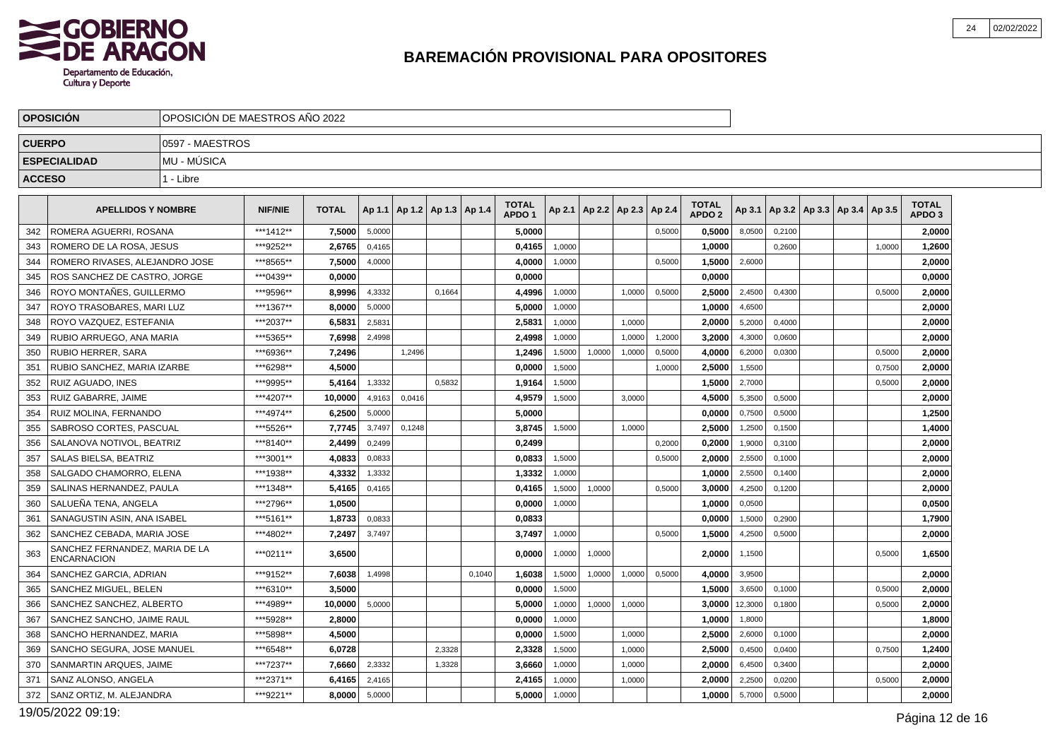

|               | <b>OPOSICIÓN</b>                                     |                 | OPOSICIÓN DE MAESTROS AÑO 2022 |              |        |                                   |        |        |                                   |        |                          |        |        |                                   |         |        |                                            |        |                                   |  |
|---------------|------------------------------------------------------|-----------------|--------------------------------|--------------|--------|-----------------------------------|--------|--------|-----------------------------------|--------|--------------------------|--------|--------|-----------------------------------|---------|--------|--------------------------------------------|--------|-----------------------------------|--|
| <b>CUERPO</b> |                                                      | 0597 - MAESTROS |                                |              |        |                                   |        |        |                                   |        |                          |        |        |                                   |         |        |                                            |        |                                   |  |
|               | <b>ESPECIALIDAD</b>                                  | MU - MÚSICA     |                                |              |        |                                   |        |        |                                   |        |                          |        |        |                                   |         |        |                                            |        |                                   |  |
| <b>ACCESO</b> |                                                      | 1 - Libre       |                                |              |        |                                   |        |        |                                   |        |                          |        |        |                                   |         |        |                                            |        |                                   |  |
|               |                                                      |                 |                                |              |        |                                   |        |        |                                   |        |                          |        |        |                                   |         |        |                                            |        |                                   |  |
|               | <b>APELLIDOS Y NOMBRE</b>                            |                 | <b>NIF/NIE</b>                 | <b>TOTAL</b> |        | Ap 1.1   Ap 1.2   Ap 1.3   Ap 1.4 |        |        | <b>TOTAL</b><br>APDO <sub>1</sub> |        | Ap 2.1   Ap 2.2   Ap 2.3 |        | Ap 2.4 | <b>TOTAL</b><br>APDO <sub>2</sub> |         |        | Ap 3.1   Ap 3.2   Ap 3.3   Ap 3.4   Ap 3.5 |        | <b>TOTAL</b><br>APDO <sub>3</sub> |  |
| 342           | ROMERA AGUERRI, ROSANA                               |                 | ***1412**                      | 7,5000       | 5,0000 |                                   |        |        | 5,0000                            |        |                          |        | 0,5000 | 0,5000                            | 8,0500  | 0,2100 |                                            |        | 2,0000                            |  |
| 343           | ROMERO DE LA ROSA. JESUS                             |                 | ***9252**                      | 2.6765       | 0,4165 |                                   |        |        | 0.4165                            | 1,0000 |                          |        |        | 1.0000                            |         | 0,2600 |                                            | 1.0000 | 1,2600                            |  |
| 344           | ROMERO RIVASES, ALEJANDRO JOSE                       |                 | ***8565**                      | 7,5000       | 4,0000 |                                   |        |        | 4,0000                            | 1,0000 |                          |        | 0,5000 | 1,5000                            | 2,6000  |        |                                            |        | 2,0000                            |  |
| 345           | ROS SANCHEZ DE CASTRO, JORGE                         |                 | ***0439**                      | 0,0000       |        |                                   |        |        | 0,0000                            |        |                          |        |        | 0,0000                            |         |        |                                            |        | 0,0000                            |  |
| 346           | ROYO MONTAÑES, GUILLERMO                             |                 | ***9596**                      | 8.9996       | 4,3332 |                                   | 0,1664 |        | 4,4996                            | 1,0000 |                          | 1,0000 | 0,5000 | 2.5000                            | 2,4500  | 0,4300 |                                            | 0,5000 | 2.0000                            |  |
| 347           | ROYO TRASOBARES, MARI LUZ                            |                 | ***1367**                      | 8,0000       | 5,0000 |                                   |        |        | 5,0000                            | 1,0000 |                          |        |        | 1,0000                            | 4,6500  |        |                                            |        | 2,0000                            |  |
| 348           | ROYO VAZQUEZ, ESTEFANIA                              |                 | ***2037**                      | 6,5831       | 2,5831 |                                   |        |        | 2,5831                            | 1,0000 |                          | 1,0000 |        | 2,0000                            | 5,2000  | 0,4000 |                                            |        | 2,0000                            |  |
| 349           | RUBIO ARRUEGO. ANA MARIA                             |                 | ***5365**                      | 7,6998       | 2,4998 |                                   |        |        | 2,4998                            | 1,0000 |                          | 1.0000 | 1,2000 | 3.2000                            | 4,3000  | 0,0600 |                                            |        | 2.0000                            |  |
| 350           | RUBIO HERRER, SARA                                   |                 | ***6936**                      | 7,2496       |        | 1,2496                            |        |        | 1,2496                            | 1,5000 | 1,0000                   | 1,0000 | 0,5000 | 4.0000                            | 6,2000  | 0,0300 |                                            | 0,5000 | 2,0000                            |  |
| 351           | RUBIO SANCHEZ, MARIA IZARBE                          |                 | ***6298**                      | 4,5000       |        |                                   |        |        | 0,0000                            | 1,5000 |                          |        | 1,0000 | 2,5000                            | 1,5500  |        |                                            | 0,7500 | 2,0000                            |  |
| 352           | RUIZ AGUADO. INES                                    |                 | ***9995**                      | 5,4164       | 1,3332 |                                   | 0.5832 |        | 1,9164                            | 1,5000 |                          |        |        | 1.5000                            | 2,7000  |        |                                            | 0,5000 | 2,0000                            |  |
| 353           | RUIZ GABARRE. JAIME                                  |                 | ***4207**                      | 10.0000      | 4,9163 | 0,0416                            |        |        | 4,9579                            | 1,5000 |                          | 3,0000 |        | 4.5000                            | 5,3500  | 0,5000 |                                            |        | 2,0000                            |  |
| 354           | RUIZ MOLINA, FERNANDO                                |                 | ***4974**                      | 6,2500       | 5,0000 |                                   |        |        | 5,0000                            |        |                          |        |        | 0,0000                            | 0,7500  | 0,5000 |                                            |        | 1,2500                            |  |
| 355           | SABROSO CORTES, PASCUAL                              |                 | ***5526**                      | 7,7745       | 3,7497 | 0,1248                            |        |        | 3,8745                            | 1.5000 |                          | 1.0000 |        | 2.5000                            | 1,2500  | 0.1500 |                                            |        | 1,4000                            |  |
| 356           | SALANOVA NOTIVOL, BEATRIZ                            |                 | ***8140**                      | 2,4499       | 0,2499 |                                   |        |        | 0,2499                            |        |                          |        | 0,2000 | 0.2000                            | 1,9000  | 0,3100 |                                            |        | 2,0000                            |  |
| 357           | SALAS BIELSA, BEATRIZ                                |                 | ***3001**                      | 4,0833       | 0,0833 |                                   |        |        | 0,0833                            | 1,5000 |                          |        | 0,5000 | 2,0000                            | 2,5500  | 0,1000 |                                            |        | 2,0000                            |  |
| 358           | SALGADO CHAMORRO. ELENA                              |                 | ***1938**                      | 4,3332       | 1,3332 |                                   |        |        | 1,3332                            | 1,0000 |                          |        |        | 1.0000                            | 2,5500  | 0,1400 |                                            |        | 2,0000                            |  |
| 359           | SALINAS HERNANDEZ, PAULA                             |                 | ***1348**                      | 5,4165       | 0,4165 |                                   |        |        | 0,4165                            | 1,5000 | 1,0000                   |        | 0,5000 | 3.0000                            | 4,2500  | 0,1200 |                                            |        | 2,0000                            |  |
| 360           | SALUEÑA TENA, ANGELA                                 |                 | ***2796**                      | 1,0500       |        |                                   |        |        | 0,0000                            | 1,0000 |                          |        |        | 1,0000                            | 0,0500  |        |                                            |        | 0,0500                            |  |
| 361           | SANAGUSTIN ASIN, ANA ISABEL                          |                 | ***5161**                      | 1.8733       | 0,0833 |                                   |        |        | 0.0833                            |        |                          |        |        | 0.0000                            | 1,5000  | 0.2900 |                                            |        | 1,7900                            |  |
| 362           | SANCHEZ CEBADA. MARIA JOSE                           |                 | ***4802**                      | 7,2497       | 3,7497 |                                   |        |        | 3,7497                            | 1,0000 |                          |        | 0,5000 | 1,5000                            | 4,2500  | 0,5000 |                                            |        | 2,0000                            |  |
| 363           | SANCHEZ FERNANDEZ, MARIA DE LA<br><b>ENCARNACION</b> |                 | ***0211**                      | 3,6500       |        |                                   |        |        | 0,0000                            | 1,0000 | 1,0000                   |        |        | 2,0000                            | 1,1500  |        |                                            | 0,5000 | 1,6500                            |  |
| 364           | SANCHEZ GARCIA, ADRIAN                               |                 | ***9152**                      | 7.6038       | 1,4998 |                                   |        | 0.1040 | 1,6038                            | 1,5000 | 1,0000                   | 1,0000 | 0,5000 | 4.0000                            | 3,9500  |        |                                            |        | 2,0000                            |  |
| 365           | SANCHEZ MIGUEL, BELEN                                |                 | ***6310**                      | 3.5000       |        |                                   |        |        | 0.0000                            | 1,5000 |                          |        |        | 1.5000                            | 3,6500  | 0,1000 |                                            | 0,5000 | 2,0000                            |  |
| 366           | SANCHEZ SANCHEZ, ALBERTO                             |                 | ***4989**                      | 10,0000      | 5,0000 |                                   |        |        | 5,0000                            | 1,0000 | 1,0000                   | 1,0000 |        | 3,0000                            | 12,3000 | 0,1800 |                                            | 0,5000 | 2,0000                            |  |
| 367           | SANCHEZ SANCHO, JAIME RAUL                           |                 | ***5928**                      | 2.8000       |        |                                   |        |        | 0.0000                            | 1,0000 |                          |        |        | 1.0000                            | 1,8000  |        |                                            |        | 1,8000                            |  |
| 368           | SANCHO HERNANDEZ, MARIA                              |                 | ***5898**                      | 4,5000       |        |                                   |        |        | 0,0000                            | 1,5000 |                          | 1,0000 |        | 2.5000                            | 2,6000  | 0,1000 |                                            |        | 2,0000                            |  |
| 369           | SANCHO SEGURA, JOSE MANUEL                           |                 | ***6548**                      | 6,0728       |        |                                   | 2,3328 |        | 2,3328                            | 1,5000 |                          | 1,0000 |        | 2,5000                            | 0,4500  | 0,0400 |                                            | 0,7500 | 1,2400                            |  |
| 370           | SANMARTIN ARQUES, JAIME                              |                 | ***7237**                      | 7.6660       | 2,3332 |                                   | 1,3328 |        | 3,6660                            | 1,0000 |                          | 1,0000 |        | 2.0000                            | 6,4500  | 0,3400 |                                            |        | 2,0000                            |  |
| 371           | SANZ ALONSO, ANGELA                                  |                 | ***2371**                      | 6,4165       | 2,4165 |                                   |        |        | 2,4165                            | 1,0000 |                          | 1,0000 |        | 2.0000                            | 2,2500  | 0,0200 |                                            | 0,5000 | 2,0000                            |  |
| 372           | SANZ ORTIZ, M. ALEJANDRA                             |                 | ***9221**                      | 8,0000       | 5,0000 |                                   |        |        | 5,0000                            | 1,0000 |                          |        |        | 1,0000                            | 5,7000  | 0,5000 |                                            |        | 2,0000                            |  |

19/05/2022 09:19: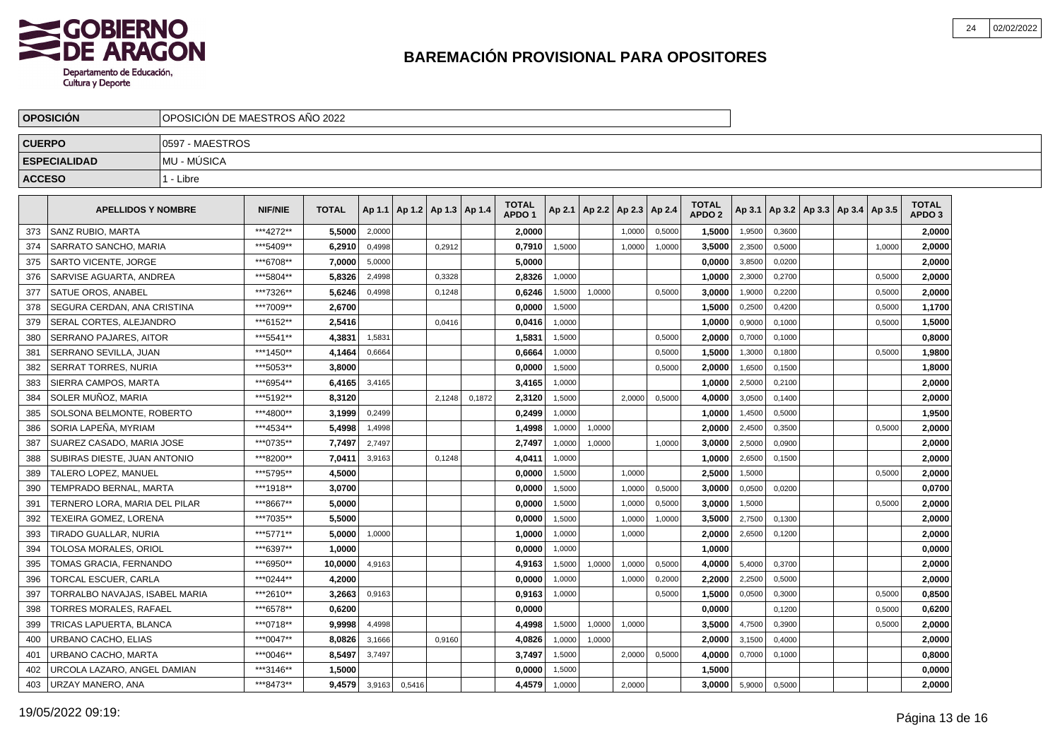

|               | <b>OPOSICIÓN</b>               | OPOSICIÓN DE MAESTROS AÑO 2022 |                |              |        |                                   |        |        |                                   |        |                 |        |        |                                   |        |        |  |                                   |                                   |  |
|---------------|--------------------------------|--------------------------------|----------------|--------------|--------|-----------------------------------|--------|--------|-----------------------------------|--------|-----------------|--------|--------|-----------------------------------|--------|--------|--|-----------------------------------|-----------------------------------|--|
| <b>CUERPO</b> |                                | 0597 - MAESTROS                |                |              |        |                                   |        |        |                                   |        |                 |        |        |                                   |        |        |  |                                   |                                   |  |
|               | <b>ESPECIALIDAD</b>            | <b>MU - MUSICA</b>             |                |              |        |                                   |        |        |                                   |        |                 |        |        |                                   |        |        |  |                                   |                                   |  |
| <b>ACCESO</b> |                                | 1 - Libre                      |                |              |        |                                   |        |        |                                   |        |                 |        |        |                                   |        |        |  |                                   |                                   |  |
|               | <b>APELLIDOS Y NOMBRE</b>      |                                | <b>NIF/NIE</b> | <b>TOTAL</b> |        | Ap 1.1   Ap 1.2   Ap 1.3   Ap 1.4 |        |        | <b>TOTAL</b><br>APDO <sub>1</sub> | Ap 2.1 | Ap 2.2   Ap 2.3 |        | Ap 2.4 | <b>TOTAL</b><br>APDO <sub>2</sub> | Ap 3.1 |        |  | Ap 3.2   Ap 3.3   Ap 3.4   Ap 3.5 | <b>TOTAL</b><br>APDO <sub>3</sub> |  |
| 373           | SANZ RUBIO, MARTA              |                                | ***4272**      | 5,5000       | 2,0000 |                                   |        |        | 2,0000                            |        |                 | 1,0000 | 0,5000 | 1,5000                            | 1,9500 | 0,3600 |  |                                   | 2,0000                            |  |
| 374           | SARRATO SANCHO, MARIA          |                                | ***5409**      | 6,2910       | 0,4998 |                                   | 0,2912 |        | 0,7910                            | 1,5000 |                 | 1,0000 | 1,0000 | 3,5000                            | 2,3500 | 0,5000 |  | 1,0000                            | 2,0000                            |  |
| 375           | <b>SARTO VICENTE, JORGE</b>    |                                | ***6708**      | 7,0000       | 5,0000 |                                   |        |        | 5,0000                            |        |                 |        |        | 0,0000                            | 3,8500 | 0,0200 |  |                                   | 2,0000                            |  |
| 376           | SARVISE AGUARTA, ANDREA        |                                | ***5804**      | 5.8326       | 2,4998 |                                   | 0,3328 |        | 2,8326                            | 1,0000 |                 |        |        | 1,0000                            | 2,3000 | 0,2700 |  | 0,5000                            | 2,0000                            |  |
| 377           | SATUE OROS, ANABEL             |                                | ***7326**      | 5.6246       | 0,4998 |                                   | 0,1248 |        | 0,6246                            | 1,5000 | 1,0000          |        | 0,5000 | 3.0000                            | 1,9000 | 0,2200 |  | 0.5000                            | 2,0000                            |  |
| 378           | SEGURA CERDAN, ANA CRISTINA    |                                | ***7009**      | 2.6700       |        |                                   |        |        | 0.0000                            | 1,5000 |                 |        |        | 1.5000                            | 0,2500 | 0,4200 |  | 0,5000                            | 1,1700                            |  |
| 379           | SERAL CORTES, ALEJANDRO        |                                | ***6152**      | 2,5416       |        |                                   | 0,0416 |        | 0,0416                            | 1.0000 |                 |        |        | 1,0000                            | 0,9000 | 0.1000 |  | 0.5000                            | 1,5000                            |  |
| 380           | SERRANO PAJARES, AITOR         |                                | ***5541**      | 4,3831       | 1,5831 |                                   |        |        | 1,5831                            | 1,5000 |                 |        | 0,5000 | 2,0000                            | 0,7000 | 0,1000 |  |                                   | 0,8000                            |  |
| 381           | SERRANO SEVILLA, JUAN          |                                | ***1450**      | 4,1464       | 0,6664 |                                   |        |        | 0,6664                            | 1,0000 |                 |        | 0,5000 | 1,5000                            | 1,3000 | 0,1800 |  | 0,5000                            | 1,9800                            |  |
| 382           | <b>SERRAT TORRES, NURIA</b>    |                                | ***5053**      | 3.8000       |        |                                   |        |        | 0,0000                            | 1,5000 |                 |        | 0,5000 | 2,0000                            | 1,6500 | 0,1500 |  |                                   | 1,8000                            |  |
| 383           | SIERRA CAMPOS, MARTA           |                                | ***6954**      | 6,4165       | 3,4165 |                                   |        |        | 3,4165                            | 1,0000 |                 |        |        | 1,0000                            | 2,5000 | 0,2100 |  |                                   | 2,0000                            |  |
| 384           | SOLER MUÑOZ, MARIA             |                                | ***5192**      | 8.3120       |        |                                   | 2,1248 | 0,1872 | 2,3120                            | 1,5000 |                 | 2,0000 | 0,5000 | 4,0000                            | 3,0500 | 0,1400 |  |                                   | 2,0000                            |  |
| 385           | SOLSONA BELMONTE, ROBERTO      |                                | ***4800**      | 3.1999       | 0,2499 |                                   |        |        | 0,2499                            | 1,0000 |                 |        |        | 1.0000                            | 1,4500 | 0,5000 |  |                                   | 1,9500                            |  |
| 386           | SORIA LAPEÑA, MYRIAM           |                                | ***4534**      | 5.4998       | 1,4998 |                                   |        |        | 1,4998                            | 1,0000 | 1,0000          |        |        | 2,0000                            | 2,4500 | 0,3500 |  | 0.5000                            | 2,0000                            |  |
| 387           | SUAREZ CASADO. MARIA JOSE      |                                | ***0735**      | 7,7497       | 2,7497 |                                   |        |        | 2,7497                            | 1,0000 | 1,0000          |        | 1,0000 | 3,0000                            | 2,5000 | 0,0900 |  |                                   | 2,0000                            |  |
| 388           | SUBIRAS DIESTE. JUAN ANTONIO   |                                | ***8200**      | 7.0411       | 3,9163 |                                   | 0.1248 |        | 4.0411                            | 1,0000 |                 |        |        | 1.0000                            | 2,6500 | 0,1500 |  |                                   | 2,0000                            |  |
| 389           | TALERO LOPEZ, MANUEL           |                                | ***5795**      | 4,5000       |        |                                   |        |        | 0,0000                            | 1,5000 |                 | 1,0000 |        | 2,5000                            | 1,5000 |        |  | 0,5000                            | 2,0000                            |  |
| 390           | TEMPRADO BERNAL, MARTA         |                                | ***1918**      | 3,0700       |        |                                   |        |        | 0,0000                            | 1,5000 |                 | 1,0000 | 0,5000 | 3,0000                            | 0,0500 | 0,0200 |  |                                   | 0,0700                            |  |
| 391           | TERNERO LORA, MARIA DEL PILAR  |                                | ***8667**      | 5,0000       |        |                                   |        |        | 0,0000                            | 1,5000 |                 | 1,0000 | 0,5000 | 3,0000                            | 1,5000 |        |  | 0,5000                            | 2,0000                            |  |
| 392           | TEXEIRA GOMEZ. LORENA          |                                | ***7035**      | 5.5000       |        |                                   |        |        | 0,0000                            | 1,5000 |                 | 1,0000 | 1,0000 | 3.5000                            | 2,7500 | 0,1300 |  |                                   | 2,0000                            |  |
| 393           | <b>TIRADO GUALLAR, NURIA</b>   |                                | ***5771**      | 5.0000       | 1,0000 |                                   |        |        | 1,0000                            | 1,0000 |                 | 1,0000 |        | 2,0000                            | 2,6500 | 0,1200 |  |                                   | 2,0000                            |  |
| 394           | TOLOSA MORALES. ORIOL          |                                | ***6397**      | 1.0000       |        |                                   |        |        | 0.0000                            | 1,0000 |                 |        |        | 1,0000                            |        |        |  |                                   | 0,0000                            |  |
| 395           | <b>TOMAS GRACIA, FERNANDO</b>  |                                | ***6950**      | 10.0000      | 4,9163 |                                   |        |        | 4,9163                            | 1,5000 | 1,0000          | 1,0000 | 0,5000 | 4.0000                            | 5,4000 | 0,3700 |  |                                   | 2,0000                            |  |
| 396           | TORCAL ESCUER, CARLA           |                                | ***0244**      | 4.2000       |        |                                   |        |        | 0.0000                            | 1,0000 |                 | 1.0000 | 0,2000 | 2.2000                            | 2,2500 | 0,5000 |  |                                   | 2,0000                            |  |
| 397           | TORRALBO NAVAJAS. ISABEL MARIA |                                | ***2610**      | 3.2663       | 0,9163 |                                   |        |        | 0,9163                            | 1,0000 |                 |        | 0,5000 | 1,5000                            | 0,0500 | 0.3000 |  | 0.5000                            | 0,8500                            |  |
| 398           | TORRES MORALES, RAFAEL         |                                | ***6578**      | 0,6200       |        |                                   |        |        | 0,0000                            |        |                 |        |        | 0,0000                            |        | 0,1200 |  | 0,5000                            | 0,6200                            |  |
| 399           | TRICAS LAPUERTA, BLANCA        |                                | ***0718**      | 9,9998       | 4,4998 |                                   |        |        | 4,4998                            | 1,5000 | 1,0000          | 1,0000 |        | 3,5000                            | 4,7500 | 0,3900 |  | 0,5000                            | 2,0000                            |  |
| 400           | JRBANO CACHO, ELIAS            |                                | ***0047**      | 8,0826       | 3,1666 |                                   | 0,9160 |        | 4,0826                            | 1,0000 | 1,0000          |        |        | 2,0000                            | 3,1500 | 0,4000 |  |                                   | 2,0000                            |  |
| 401           | JRBANO CACHO, MARTA            |                                | ***0046**      | 8,5497       | 3,7497 |                                   |        |        | 3,7497                            | 1,5000 |                 | 2,0000 | 0,5000 | 4,0000                            | 0,7000 | 0,1000 |  |                                   | 0,8000                            |  |
| 402           | JRCOLA LAZARO, ANGEL DAMIAN    |                                | ***3146**      | 1,5000       |        |                                   |        |        | 0,0000                            | 1,5000 |                 |        |        | 1,5000                            |        |        |  |                                   | 0,0000                            |  |
| 403           | URZAY MANERO, ANA              |                                | ***8473**      | 9,4579       | 3,9163 | 0,5416                            |        |        | 4,4579                            | 1,0000 |                 | 2,0000 |        | 3.0000                            | 5,9000 | 0,5000 |  |                                   | 2,0000                            |  |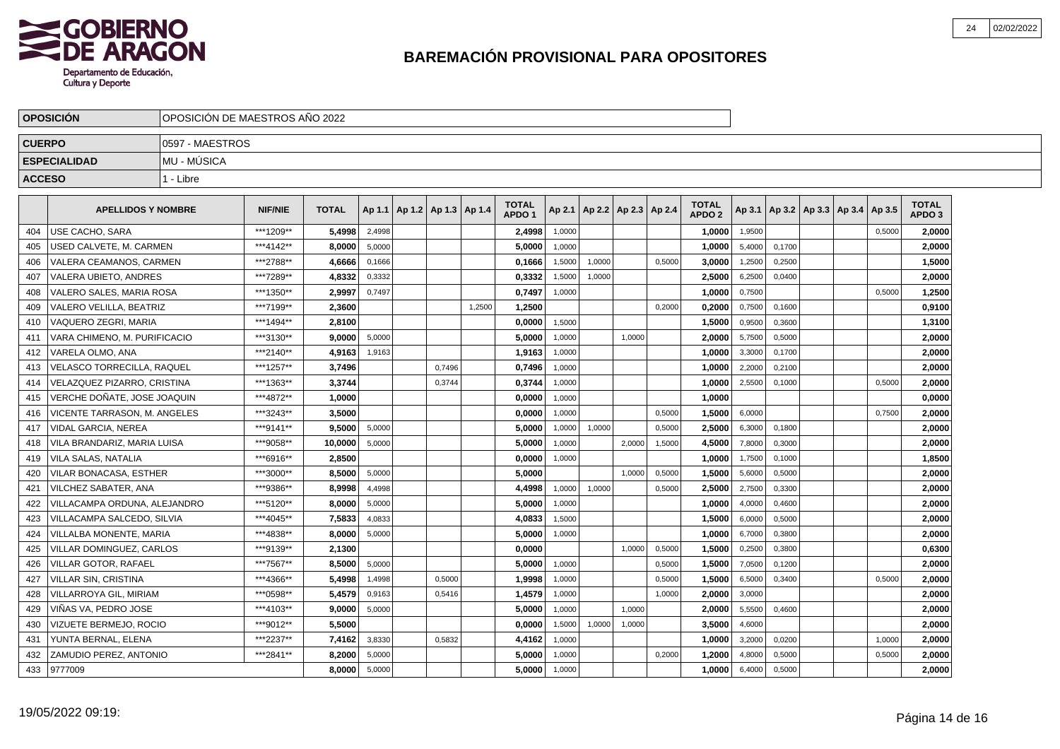

|               | <b>OPOSICIÓN</b>                    | OPOSICIÓN DE MAESTROS AÑO 2022 |                |              |        |                                   |        |        |                                   |        |                          |        |        |                                   |        |        |                                   |        |                                   |  |
|---------------|-------------------------------------|--------------------------------|----------------|--------------|--------|-----------------------------------|--------|--------|-----------------------------------|--------|--------------------------|--------|--------|-----------------------------------|--------|--------|-----------------------------------|--------|-----------------------------------|--|
| <b>CUERPO</b> |                                     | 0597 - MAESTROS                |                |              |        |                                   |        |        |                                   |        |                          |        |        |                                   |        |        |                                   |        |                                   |  |
|               | <b>ESPECIALIDAD</b>                 | MU - MÚSICA                    |                |              |        |                                   |        |        |                                   |        |                          |        |        |                                   |        |        |                                   |        |                                   |  |
| <b>ACCESO</b> |                                     | 1 - Libre                      |                |              |        |                                   |        |        |                                   |        |                          |        |        |                                   |        |        |                                   |        |                                   |  |
|               |                                     |                                |                |              |        |                                   |        |        |                                   |        |                          |        |        |                                   |        |        |                                   |        |                                   |  |
|               | <b>APELLIDOS Y NOMBRE</b>           |                                | <b>NIF/NIE</b> | <b>TOTAL</b> |        | Ap 1.1   Ap 1.2   Ap 1.3   Ap 1.4 |        |        | <b>TOTAL</b><br>APDO <sub>1</sub> | Ap 2.1 | Ap 2.2   Ap 2.3   Ap 2.4 |        |        | <b>TOTAL</b><br>APDO <sub>2</sub> | Ap 3.1 |        | Ap 3.2   Ap 3.3   Ap 3.4   Ap 3.5 |        | <b>TOTAL</b><br>APDO <sub>3</sub> |  |
| 404           | USE CACHO, SARA                     |                                | ***1209**      | 5,4998       | 2,4998 |                                   |        |        | 2,4998                            | 1,0000 |                          |        |        | 1,0000                            | 1,9500 |        |                                   | 0,5000 | 2,0000                            |  |
| 405           | JSED CALVETE, M. CARMEN             |                                | ***4142**      | 8,0000       | 5,0000 |                                   |        |        | 5,0000                            | 1,0000 |                          |        |        | 1,0000                            | 5,4000 | 0,1700 |                                   |        | 2,0000                            |  |
| 406           | VALERA CEAMANOS, CARMEN             |                                | ***2788**      | 4,6666       | 0,1666 |                                   |        |        | 0,1666                            | 1,5000 | 1,0000                   |        | 0,5000 | 3,0000                            | 1,2500 | 0,2500 |                                   |        | 1,5000                            |  |
| 407           | VALERA UBIETO, ANDRES               |                                | ***7289**      | 4,8332       | 0,3332 |                                   |        |        | 0,3332                            | 1,5000 | 1,0000                   |        |        | 2,5000                            | 6,2500 | 0,0400 |                                   |        | 2,0000                            |  |
| 408           | VALERO SALES. MARIA ROSA            |                                | ***1350**      | 2.9997       | 0.7497 |                                   |        |        | 0,7497                            | 1,0000 |                          |        |        | 1.0000                            | 0,7500 |        |                                   | 0,5000 | 1,2500                            |  |
| 409           | VALERO VELILLA, BEATRIZ             |                                | ***7199**      | 2,3600       |        |                                   |        | 1,2500 | 1,2500                            |        |                          |        | 0,2000 | 0,2000                            | 0,7500 | 0,1600 |                                   |        | 0,9100                            |  |
| 410           | VAQUERO ZEGRI, MARIA                |                                | ***1494**      | 2,8100       |        |                                   |        |        | 0,0000                            | 1,5000 |                          |        |        | 1,5000                            | 0,9500 | 0,3600 |                                   |        | 1,3100                            |  |
| 411           | VARA CHIMENO. M. PURIFICACIO        |                                | ***3130**      | 9.0000       | 5,0000 |                                   |        |        | 5.0000                            | 1,0000 |                          | 1.0000 |        | 2.0000                            | 5,7500 | 0,5000 |                                   |        | 2,0000                            |  |
| 412           | VARELA OLMO. ANA                    |                                | ***2140**      | 4.9163       | 1,9163 |                                   |        |        | 1,9163                            | 1.0000 |                          |        |        | 1.0000                            | 3,3000 | 0.1700 |                                   |        | 2,0000                            |  |
| 413           | VELASCO TORRECILLA, RAQUEL          |                                | ***1257**      | 3,7496       |        |                                   | 0,7496 |        | 0,7496                            | 1,0000 |                          |        |        | 1,0000                            | 2,2000 | 0,2100 |                                   |        | 2,0000                            |  |
| 414           | VELAZQUEZ PIZARRO, CRISTINA         |                                | ***1363**      | 3.3744       |        |                                   | 0,3744 |        | 0,3744                            | 1,0000 |                          |        |        | 1,0000                            | 2,5500 | 0,1000 |                                   | 0,5000 | 2,0000                            |  |
| 415           | VERCHE DOÑATE, JOSE JOAQUIN         |                                | ***4872**      | 1.0000       |        |                                   |        |        | 0.0000                            | 1,0000 |                          |        |        | 1.0000                            |        |        |                                   |        | 0.0000                            |  |
| 416           | <b>VICENTE TARRASON, M. ANGELES</b> |                                | ***3243**      | 3.5000       |        |                                   |        |        | 0.0000                            | 1,0000 |                          |        | 0.5000 | 1.5000                            | 6,0000 |        |                                   | 0,7500 | 2,0000                            |  |
| 417           | VIDAL GARCIA, NEREA                 |                                | ***9141**      | 9,5000       | 5,0000 |                                   |        |        | 5,0000                            | 1,0000 | 1,0000                   |        | 0,5000 | 2,5000                            | 6,3000 | 0,1800 |                                   |        | 2,0000                            |  |
| 418           | VILA BRANDARIZ, MARIA LUISA         |                                | ***9058**      | 10,0000      | 5,0000 |                                   |        |        | 5,0000                            | 1,0000 |                          | 2,0000 | 1,5000 | 4,5000                            | 7,8000 | 0,3000 |                                   |        | 2,0000                            |  |
| 419           | VILA SALAS, NATALIA                 |                                | ***6916**      | 2.8500       |        |                                   |        |        | 0,0000                            | 1,0000 |                          |        |        | 1.0000                            | 1,7500 | 0,1000 |                                   |        | 1,8500                            |  |
| 420           | VILAR BONACASA, ESTHER              |                                | ***3000**      | 8.5000       | 5,0000 |                                   |        |        | 5.0000                            |        |                          | 1.0000 | 0,5000 | 1.5000                            | 5,6000 | 0,5000 |                                   |        | 2.0000                            |  |
| 421           | VILCHEZ SABATER, ANA                |                                | ***9386**      | 8,9998       | 4,4998 |                                   |        |        | 4,4998                            | 1,0000 | 1,0000                   |        | 0,5000 | 2,5000                            | 2,7500 | 0,3300 |                                   |        | 2,0000                            |  |
| 422           | VILLACAMPA ORDUNA, ALEJANDRO        |                                | ***5120**      | 8,0000       | 5,0000 |                                   |        |        | 5,0000                            | 1,0000 |                          |        |        | 1,0000                            | 4,0000 | 0,4600 |                                   |        | 2,0000                            |  |
| 423           | VILLACAMPA SALCEDO, SILVIA          |                                | ***4045**      | 7,5833       | 4,0833 |                                   |        |        | 4,0833                            | 1,5000 |                          |        |        | 1,5000                            | 6,0000 | 0,5000 |                                   |        | 2,0000                            |  |
| 424           | VILLALBA MONENTE, MARIA             |                                | ***4838**      | 8.0000       | 5,0000 |                                   |        |        | 5,0000                            | 1,0000 |                          |        |        | 1.0000                            | 6,7000 | 0,3800 |                                   |        | 2,0000                            |  |
| 425           | VILLAR DOMINGUEZ, CARLOS            |                                | ***9139**      | 2,1300       |        |                                   |        |        | 0,0000                            |        |                          | 1,0000 | 0,5000 | 1,5000                            | 0,2500 | 0,3800 |                                   |        | 0,6300                            |  |
| 426           | VILLAR GOTOR, RAFAEL                |                                | ***7567**      | 8,5000       | 5,0000 |                                   |        |        | 5,0000                            | 1,0000 |                          |        | 0,5000 | 1,5000                            | 7,0500 | 0,1200 |                                   |        | 2,0000                            |  |
| 427           | VILLAR SIN, CRISTINA                |                                | ***4366**      | 5,4998       | 1,4998 |                                   | 0,5000 |        | 1,9998                            | 1,0000 |                          |        | 0,5000 | 1,5000                            | 6,5000 | 0,3400 |                                   | 0,5000 | 2,0000                            |  |
| 428           | VILLARROYA GIL, MIRIAM              |                                | ***0598**      | 5,4579       | 0,9163 |                                   | 0,5416 |        | 1,4579                            | 1.0000 |                          |        | 1,0000 | 2,0000                            | 3,0000 |        |                                   |        | 2,0000                            |  |
| 429           | VIÑAS VA. PEDRO JOSE                |                                | ***4103**      | 9.0000       | 5,0000 |                                   |        |        | 5.0000                            | 1.0000 |                          | 1.0000 |        | 2.0000                            | 5,5500 | 0.4600 |                                   |        | 2,0000                            |  |
| 430           | VIZUETE BERMEJO, ROCIO              |                                | ***9012**      | 5,5000       |        |                                   |        |        | 0,0000                            | 1,5000 | 1,0000                   | 1,0000 |        | 3,5000                            | 4,6000 |        |                                   |        | 2,0000                            |  |
| 431           | YUNTA BERNAL, ELENA                 |                                | ***2237**      | 7,4162       | 3,8330 |                                   | 0,5832 |        | 4,4162                            | 1,0000 |                          |        |        | 1,0000                            | 3,2000 | 0,0200 |                                   | 1,0000 | 2,0000                            |  |
| 432           | ZAMUDIO PEREZ. ANTONIO              |                                | ***2841**      | 8,2000       | 5,0000 |                                   |        |        | 5,0000                            | 1,0000 |                          |        | 0,2000 | 1,2000                            | 4,8000 | 0,5000 |                                   | 0,5000 | 2,0000                            |  |
| 433           | 9777009                             |                                |                | 8.0000       | 5,0000 |                                   |        |        | 5.0000                            | 1,0000 |                          |        |        | 1.0000                            | 6,4000 | 0,5000 |                                   |        | 2.0000                            |  |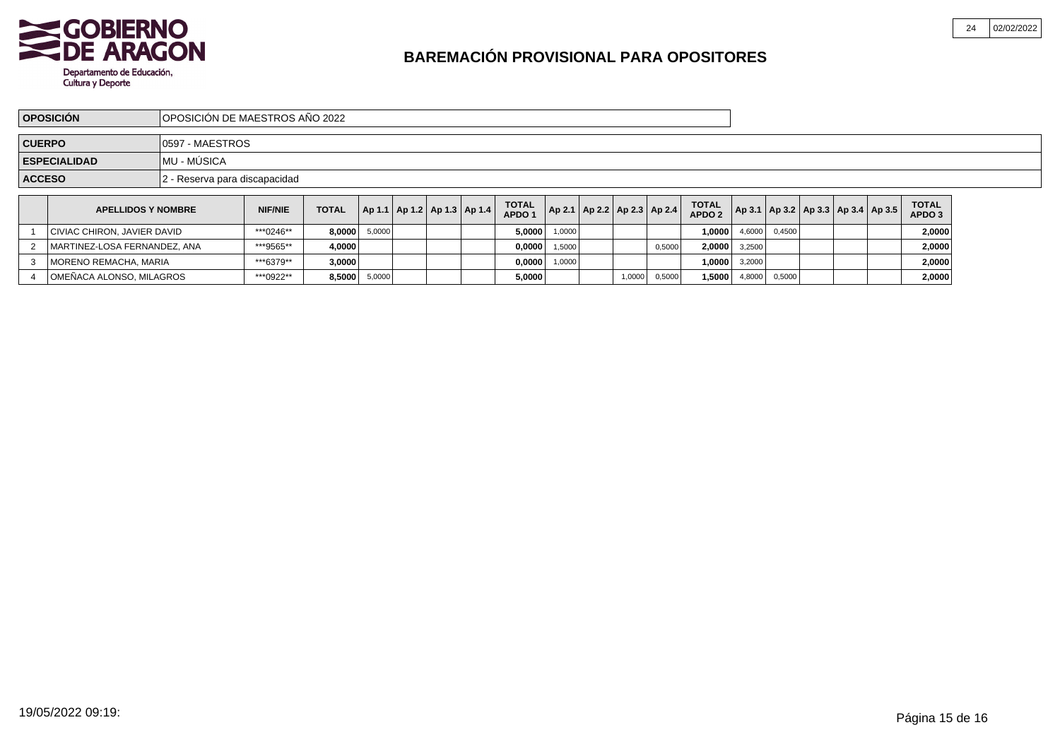

4 OMEÑACA ALONSO, MILAGROS

# **BAREMACIÓN PROVISIONAL PARA OPOSITORES**

| OPOSICIÓN DE MAESTROS AÑO 2022<br><b>OPOSICIÓN</b> |                                     |                               |                |              |        |  |  |                                   |                                   |        |                                       |        |                                   |        |        |                                            |                        |  |
|----------------------------------------------------|-------------------------------------|-------------------------------|----------------|--------------|--------|--|--|-----------------------------------|-----------------------------------|--------|---------------------------------------|--------|-----------------------------------|--------|--------|--------------------------------------------|------------------------|--|
|                                                    | 10597 - MAESTROS<br><b>CUERPO</b>   |                               |                |              |        |  |  |                                   |                                   |        |                                       |        |                                   |        |        |                                            |                        |  |
|                                                    | IMU - MÚSICA<br><b>ESPECIALIDAD</b> |                               |                |              |        |  |  |                                   |                                   |        |                                       |        |                                   |        |        |                                            |                        |  |
| <b>ACCESO</b>                                      |                                     | 2 - Reserva para discapacidad |                |              |        |  |  |                                   |                                   |        |                                       |        |                                   |        |        |                                            |                        |  |
|                                                    | <b>APELLIDOS Y NOMBRE</b>           |                               | <b>NIF/NIE</b> | <b>TOTAL</b> |        |  |  | Ap 1.1   Ap 1.2   Ap 1.3   Ap 1.4 | <b>TOTAL</b><br>APDO <sub>1</sub> |        | $ $ Ap 2.1   Ap 2.2   Ap 2.3   Ap 2.4 |        | <b>TOTAL</b><br>APDO <sub>2</sub> |        |        | Ap 3.1   Ap 3.2   Ap 3.3   Ap 3.4   Ap 3.5 | <b>TOTAL</b><br>APDO 3 |  |
|                                                    | CIVIAC CHIRON, JAVIER DAVID         |                               | ***0246**      | 8.0000       | 5,0000 |  |  |                                   | 5.0000                            | 1.0000 |                                       |        | 1.00001                           | 4.6000 | 0.4500 |                                            | 2,0000                 |  |
| 2                                                  | MARTINEZ-LOSA FERNANDEZ, ANA        |                               | ***9565**      | 4.0000       |        |  |  |                                   | 0.0000                            | 1,5000 |                                       | 0,5000 | 2,0000                            | 3,2500 |        |                                            | 2,0000                 |  |
|                                                    | MORENO REMACHA, MARIA               |                               | ***6379**      | 3,0000       |        |  |  |                                   | 0,0000                            | 1,0000 |                                       |        | 1,0000                            | 3,2000 |        |                                            | 2,0000                 |  |

 $S$   $*^{***0922**}$  **8,5000** 5,0000 **5,000 1,5000 1,5000 0,5000 1,5000 0,5000 0,5000 0,5000 1,5000 0,5000 1 2,0000**